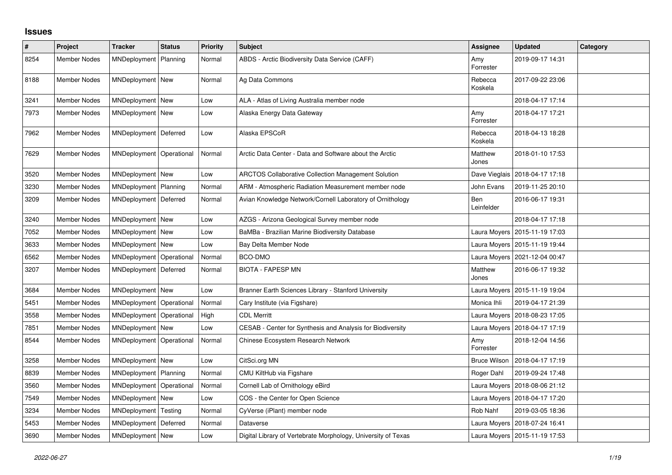## **Issues**

| $\vert$ # | Project             | <b>Tracker</b>          | <b>Status</b> | <b>Priority</b> | <b>Subject</b>                                                | <b>Assignee</b>          | <b>Updated</b>                  | Category |
|-----------|---------------------|-------------------------|---------------|-----------------|---------------------------------------------------------------|--------------------------|---------------------------------|----------|
| 8254      | <b>Member Nodes</b> | MNDeployment            | Planning      | Normal          | ABDS - Arctic Biodiversity Data Service (CAFF)                | Amy<br>Forrester         | 2019-09-17 14:31                |          |
| 8188      | Member Nodes        | MNDeployment   New      |               | Normal          | Ag Data Commons                                               | Rebecca<br>Koskela       | 2017-09-22 23:06                |          |
| 3241      | <b>Member Nodes</b> | MNDeployment            | New           | Low             | ALA - Atlas of Living Australia member node                   |                          | 2018-04-17 17:14                |          |
| 7973      | <b>Member Nodes</b> | MNDeployment            | <b>New</b>    | Low             | Alaska Energy Data Gateway                                    | Amy<br>Forrester         | 2018-04-17 17:21                |          |
| 7962      | Member Nodes        | MNDeployment            | Deferred      | Low             | Alaska EPSCoR                                                 | Rebecca<br>Koskela       | 2018-04-13 18:28                |          |
| 7629      | <b>Member Nodes</b> | MNDeployment            | Operational   | Normal          | Arctic Data Center - Data and Software about the Arctic       | Matthew<br>Jones         | 2018-01-10 17:53                |          |
| 3520      | <b>Member Nodes</b> | MNDeployment New        |               | Low             | ARCTOS Collaborative Collection Management Solution           | Dave Vieglais            | 2018-04-17 17:18                |          |
| 3230      | <b>Member Nodes</b> | <b>MNDeployment</b>     | Planning      | Normal          | ARM - Atmospheric Radiation Measurement member node           | John Evans               | 2019-11-25 20:10                |          |
| 3209      | <b>Member Nodes</b> | MNDeployment Deferred   |               | Normal          | Avian Knowledge Network/Cornell Laboratory of Ornithology     | <b>Ben</b><br>Leinfelder | 2016-06-17 19:31                |          |
| 3240      | <b>Member Nodes</b> | MNDeployment            | <b>New</b>    | Low             | AZGS - Arizona Geological Survey member node                  |                          | 2018-04-17 17:18                |          |
| 7052      | <b>Member Nodes</b> | MNDeployment New        |               | Low             | BaMBa - Brazilian Marine Biodiversity Database                | Laura Moyers             | 2015-11-19 17:03                |          |
| 3633      | Member Nodes        | MNDeployment            | New           | Low             | Bay Delta Member Node                                         | Laura Moyers             | 2015-11-19 19:44                |          |
| 6562      | <b>Member Nodes</b> | MNDeployment            | Operational   | Normal          | BCO-DMO                                                       | Laura Moyers             | 2021-12-04 00:47                |          |
| 3207      | Member Nodes        | MNDeployment   Deferred |               | Normal          | <b>BIOTA - FAPESP MN</b>                                      | Matthew<br>Jones         | 2016-06-17 19:32                |          |
| 3684      | Member Nodes        | MNDeployment   New      |               | Low             | Branner Earth Sciences Library - Stanford University          | Laura Moyers             | 2015-11-19 19:04                |          |
| 5451      | <b>Member Nodes</b> | MNDeployment            | Operational   | Normal          | Cary Institute (via Figshare)                                 | Monica Ihli              | 2019-04-17 21:39                |          |
| 3558      | Member Nodes        | MNDeployment            | Operational   | High            | <b>CDL Merritt</b>                                            | Laura Moyers             | 2018-08-23 17:05                |          |
| 7851      | <b>Member Nodes</b> | MNDeployment New        |               | Low             | CESAB - Center for Synthesis and Analysis for Biodiversity    | Laura Moyers             | 2018-04-17 17:19                |          |
| 8544      | Member Nodes        | MNDeployment            | Operational   | Normal          | Chinese Ecosystem Research Network                            | Amy<br>Forrester         | 2018-12-04 14:56                |          |
| 3258      | <b>Member Nodes</b> | MNDeployment   New      |               | Low             | CitSci.org MN                                                 | <b>Bruce Wilson</b>      | 2018-04-17 17:19                |          |
| 8839      | <b>Member Nodes</b> | MNDeployment            | Planning      | Normal          | CMU KiltHub via Figshare                                      | Roger Dahl               | 2019-09-24 17:48                |          |
| 3560      | Member Nodes        | MNDeployment            | Operational   | Normal          | Cornell Lab of Ornithology eBird                              | Laura Moyers             | 2018-08-06 21:12                |          |
| 7549      | <b>Member Nodes</b> | MNDeployment New        |               | Low             | COS - the Center for Open Science                             | Laura Moyers             | 2018-04-17 17:20                |          |
| 3234      | Member Nodes        | MNDeployment            | Testing       | Normal          | CyVerse (iPlant) member node                                  | Rob Nahf                 | 2019-03-05 18:36                |          |
| 5453      | <b>Member Nodes</b> | MNDeployment            | Deferred      | Normal          | Dataverse                                                     | Laura Moyers             | 2018-07-24 16:41                |          |
| 3690      | Member Nodes        | MNDeployment New        |               | Low             | Digital Library of Vertebrate Morphology, University of Texas |                          | Laura Moyers   2015-11-19 17:53 |          |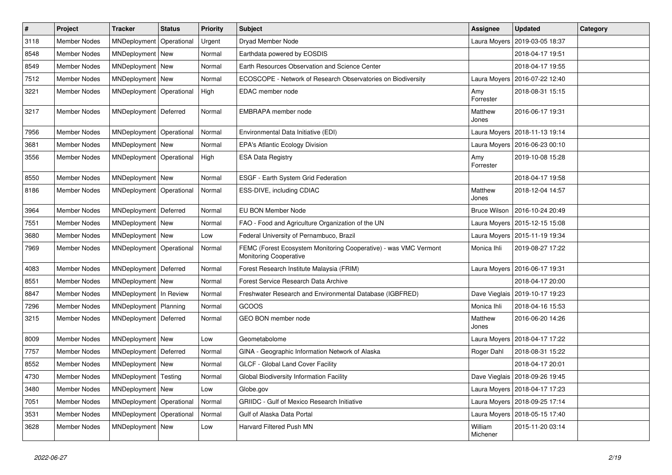| $\vert$ # | Project             | <b>Tracker</b>             | <b>Status</b> | <b>Priority</b> | <b>Subject</b>                                                                                    | Assignee            | <b>Updated</b>                   | Category |
|-----------|---------------------|----------------------------|---------------|-----------------|---------------------------------------------------------------------------------------------------|---------------------|----------------------------------|----------|
| 3118      | <b>Member Nodes</b> | MNDeployment               | Operational   | Urgent          | Dryad Member Node                                                                                 | Laura Moyers        | 2019-03-05 18:37                 |          |
| 8548      | <b>Member Nodes</b> | MNDeployment New           |               | Normal          | Earthdata powered by EOSDIS                                                                       |                     | 2018-04-17 19:51                 |          |
| 8549      | <b>Member Nodes</b> | MNDeployment New           |               | Normal          | Earth Resources Observation and Science Center                                                    |                     | 2018-04-17 19:55                 |          |
| 7512      | <b>Member Nodes</b> | MNDeployment New           |               | Normal          | ECOSCOPE - Network of Research Observatories on Biodiversity                                      | Laura Moyers        | 2016-07-22 12:40                 |          |
| 3221      | <b>Member Nodes</b> | MNDeployment               | Operational   | High            | EDAC member node                                                                                  | Amy<br>Forrester    | 2018-08-31 15:15                 |          |
| 3217      | <b>Member Nodes</b> | MNDeployment   Deferred    |               | Normal          | EMBRAPA member node                                                                               | Matthew<br>Jones    | 2016-06-17 19:31                 |          |
| 7956      | <b>Member Nodes</b> | MNDeployment               | Operational   | Normal          | Environmental Data Initiative (EDI)                                                               |                     | Laura Moyers   2018-11-13 19:14  |          |
| 3681      | <b>Member Nodes</b> | MNDeployment New           |               | Normal          | <b>EPA's Atlantic Ecology Division</b>                                                            |                     | Laura Moyers   2016-06-23 00:10  |          |
| 3556      | Member Nodes        | MNDeployment               | Operational   | High            | <b>ESA Data Registry</b>                                                                          | Amy<br>Forrester    | 2019-10-08 15:28                 |          |
| 8550      | <b>Member Nodes</b> | MNDeployment New           |               | Normal          | ESGF - Earth System Grid Federation                                                               |                     | 2018-04-17 19:58                 |          |
| 8186      | Member Nodes        | MNDeployment   Operational |               | Normal          | ESS-DIVE, including CDIAC                                                                         | Matthew<br>Jones    | 2018-12-04 14:57                 |          |
| 3964      | <b>Member Nodes</b> | MNDeployment   Deferred    |               | Normal          | EU BON Member Node                                                                                | <b>Bruce Wilson</b> | 2016-10-24 20:49                 |          |
| 7551      | <b>Member Nodes</b> | MNDeployment New           |               | Normal          | FAO - Food and Agriculture Organization of the UN                                                 | Laura Moyers        | 2015-12-15 15:08                 |          |
| 3680      | <b>Member Nodes</b> | MNDeployment New           |               | Low             | Federal University of Pernambuco, Brazil                                                          |                     | Laura Moyers   2015-11-19 19:34  |          |
| 7969      | <b>Member Nodes</b> | MNDeployment Operational   |               | Normal          | FEMC (Forest Ecosystem Monitoring Cooperative) - was VMC Vermont<br><b>Monitoring Cooperative</b> | Monica Ihli         | 2019-08-27 17:22                 |          |
| 4083      | Member Nodes        | MNDeployment   Deferred    |               | Normal          | Forest Research Institute Malaysia (FRIM)                                                         |                     | Laura Moyers   2016-06-17 19:31  |          |
| 8551      | <b>Member Nodes</b> | MNDeployment New           |               | Normal          | Forest Service Research Data Archive                                                              |                     | 2018-04-17 20:00                 |          |
| 8847      | <b>Member Nodes</b> | MNDeployment   In Review   |               | Normal          | Freshwater Research and Environmental Database (IGBFRED)                                          |                     | Dave Vieglais   2019-10-17 19:23 |          |
| 7296      | <b>Member Nodes</b> | MNDeployment   Planning    |               | Normal          | GCOOS                                                                                             | Monica Ihli         | 2018-04-16 15:53                 |          |
| 3215      | <b>Member Nodes</b> | MNDeployment   Deferred    |               | Normal          | GEO BON member node                                                                               | Matthew<br>Jones    | 2016-06-20 14:26                 |          |
| 8009      | <b>Member Nodes</b> | MNDeployment New           |               | Low             | Geometabolome                                                                                     | Laura Moyers        | 2018-04-17 17:22                 |          |
| 7757      | <b>Member Nodes</b> | MNDeployment   Deferred    |               | Normal          | GINA - Geographic Information Network of Alaska                                                   | Roger Dahl          | 2018-08-31 15:22                 |          |
| 8552      | <b>Member Nodes</b> | MNDeployment New           |               | Normal          | GLCF - Global Land Cover Facility                                                                 |                     | 2018-04-17 20:01                 |          |
| 4730      | <b>Member Nodes</b> | MNDeployment   Testing     |               | Normal          | Global Biodiversity Information Facility                                                          |                     | Dave Vieglais   2018-09-26 19:45 |          |
| 3480      | <b>Member Nodes</b> | MNDeployment   New         |               | Low             | Globe.gov                                                                                         |                     | Laura Moyers   2018-04-17 17:23  |          |
| 7051      | <b>Member Nodes</b> | MNDeployment               | Operational   | Normal          | <b>GRIIDC - Gulf of Mexico Research Initiative</b>                                                |                     | Laura Moyers   2018-09-25 17:14  |          |
| 3531      | Member Nodes        | MNDeployment   Operational |               | Normal          | Gulf of Alaska Data Portal                                                                        | Laura Moyers        | 2018-05-15 17:40                 |          |
| 3628      | Member Nodes        | MNDeployment New           |               | Low             | Harvard Filtered Push MN                                                                          | William<br>Michener | 2015-11-20 03:14                 |          |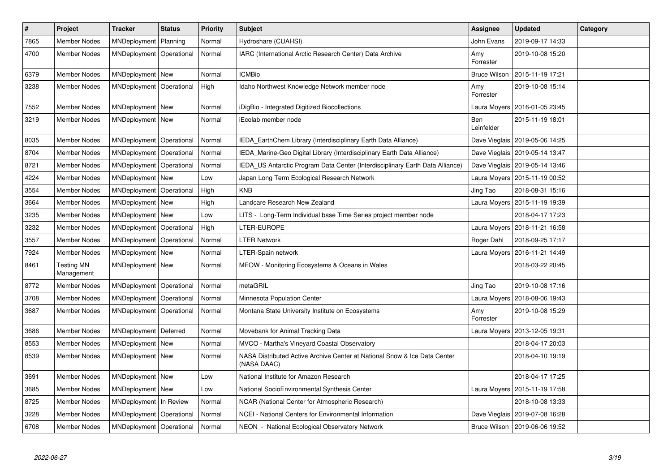| $\vert$ # | <b>Project</b>                  | <b>Tracker</b>             | <b>Status</b> | Priority | <b>Subject</b>                                                                           | Assignee            | <b>Updated</b>   | Category |
|-----------|---------------------------------|----------------------------|---------------|----------|------------------------------------------------------------------------------------------|---------------------|------------------|----------|
| 7865      | Member Nodes                    | MNDeployment               | Planning      | Normal   | Hydroshare (CUAHSI)                                                                      | John Evans          | 2019-09-17 14:33 |          |
| 4700      | <b>Member Nodes</b>             | MNDeployment   Operational |               | Normal   | IARC (International Arctic Research Center) Data Archive                                 | Amy<br>Forrester    | 2019-10-08 15:20 |          |
| 6379      | Member Nodes                    | MNDeployment New           |               | Normal   | <b>ICMBio</b>                                                                            | <b>Bruce Wilson</b> | 2015-11-19 17:21 |          |
| 3238      | Member Nodes                    | MNDeployment   Operational |               | High     | Idaho Northwest Knowledge Network member node                                            | Amy<br>Forrester    | 2019-10-08 15:14 |          |
| 7552      | <b>Member Nodes</b>             | MNDeployment New           |               | Normal   | iDigBio - Integrated Digitized Biocollections                                            | Laura Moyers        | 2016-01-05 23:45 |          |
| 3219      | <b>Member Nodes</b>             | MNDeployment   New         |               | Normal   | iEcolab member node                                                                      | Ben<br>Leinfelder   | 2015-11-19 18:01 |          |
| 8035      | Member Nodes                    | MNDeployment   Operational |               | Normal   | IEDA_EarthChem Library (Interdisciplinary Earth Data Alliance)                           | Dave Vieglais       | 2019-05-06 14:25 |          |
| 8704      | <b>Member Nodes</b>             | MNDeployment   Operational |               | Normal   | IEDA Marine-Geo Digital Library (Interdisciplinary Earth Data Alliance)                  | Dave Vieglais       | 2019-05-14 13:47 |          |
| 8721      | Member Nodes                    | MNDeployment               | Operational   | Normal   | IEDA_US Antarctic Program Data Center (Interdisciplinary Earth Data Alliance)            | Dave Vieglais       | 2019-05-14 13:46 |          |
| 4224      | <b>Member Nodes</b>             | MNDeployment New           |               | Low      | Japan Long Term Ecological Research Network                                              | Laura Moyers        | 2015-11-19 00:52 |          |
| 3554      | <b>Member Nodes</b>             | MNDeployment               | Operational   | High     | <b>KNB</b>                                                                               | Jing Tao            | 2018-08-31 15:16 |          |
| 3664      | <b>Member Nodes</b>             | MNDeployment New           |               | High     | Landcare Research New Zealand                                                            | Laura Moyers        | 2015-11-19 19:39 |          |
| 3235      | Member Nodes                    | MNDeployment New           |               | Low      | LITS - Long-Term Individual base Time Series project member node                         |                     | 2018-04-17 17:23 |          |
| 3232      | Member Nodes                    | MNDeployment               | Operational   | High     | LTER-EUROPE                                                                              | Laura Moyers        | 2018-11-21 16:58 |          |
| 3557      | Member Nodes                    | MNDeployment   Operational |               | Normal   | <b>LTER Network</b>                                                                      | Roger Dahl          | 2018-09-25 17:17 |          |
| 7924      | <b>Member Nodes</b>             | MNDeployment New           |               | Normal   | LTER-Spain network                                                                       | Laura Moyers        | 2016-11-21 14:49 |          |
| 8461      | <b>Testing MN</b><br>Management | MNDeployment   New         |               | Normal   | MEOW - Monitoring Ecosystems & Oceans in Wales                                           |                     | 2018-03-22 20:45 |          |
| 8772      | Member Nodes                    | MNDeployment   Operational |               | Normal   | metaGRIL                                                                                 | Jing Tao            | 2019-10-08 17:16 |          |
| 3708      | <b>Member Nodes</b>             | MNDeployment               | Operational   | Normal   | Minnesota Population Center                                                              | Laura Moyers        | 2018-08-06 19:43 |          |
| 3687      | Member Nodes                    | MNDeployment   Operational |               | Normal   | Montana State University Institute on Ecosystems                                         | Amy<br>Forrester    | 2019-10-08 15:29 |          |
| 3686      | Member Nodes                    | MNDeployment   Deferred    |               | Normal   | Movebank for Animal Tracking Data                                                        | Laura Moyers        | 2013-12-05 19:31 |          |
| 8553      | Member Nodes                    | MNDeployment   New         |               | Normal   | MVCO - Martha's Vineyard Coastal Observatory                                             |                     | 2018-04-17 20:03 |          |
| 8539      | Member Nodes                    | MNDeployment   New         |               | Normal   | NASA Distributed Active Archive Center at National Snow & Ice Data Center<br>(NASA DAAC) |                     | 2018-04-10 19:19 |          |
| 3691      | Member Nodes                    | MNDeployment   New         |               | Low      | National Institute for Amazon Research                                                   |                     | 2018-04-17 17:25 |          |
| 3685      | Member Nodes                    | MNDeployment New           |               | Low      | National SocioEnvironmental Synthesis Center                                             | Laura Moyers        | 2015-11-19 17:58 |          |
| 8725      | Member Nodes                    | MNDeployment   In Review   |               | Normal   | NCAR (National Center for Atmospheric Research)                                          |                     | 2018-10-08 13:33 |          |
| 3228      | <b>Member Nodes</b>             | MNDeployment   Operational |               | Normal   | NCEI - National Centers for Environmental Information                                    | Dave Vieglais       | 2019-07-08 16:28 |          |
| 6708      | Member Nodes                    | MNDeployment   Operational |               | Normal   | NEON - National Ecological Observatory Network                                           | Bruce Wilson        | 2019-06-06 19:52 |          |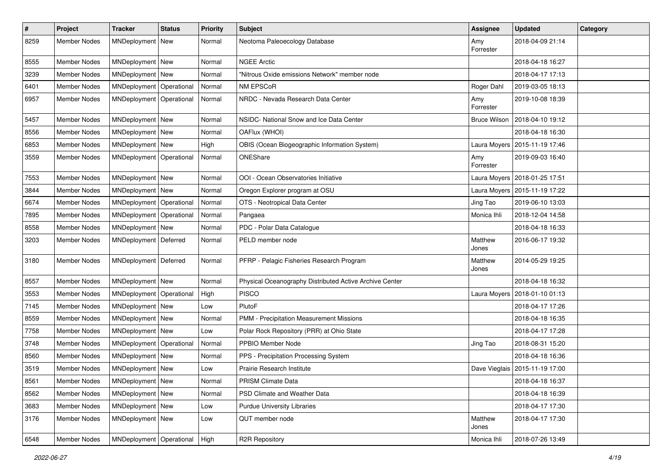| $\pmb{\#}$ | <b>Project</b>      | <b>Tracker</b>             | <b>Status</b> | <b>Priority</b> | <b>Subject</b>                                          | <b>Assignee</b>     | <b>Updated</b>                  | Category |
|------------|---------------------|----------------------------|---------------|-----------------|---------------------------------------------------------|---------------------|---------------------------------|----------|
| 8259       | <b>Member Nodes</b> | MNDeployment   New         |               | Normal          | Neotoma Paleoecology Database                           | Amy<br>Forrester    | 2018-04-09 21:14                |          |
| 8555       | <b>Member Nodes</b> | MNDeployment New           |               | Normal          | <b>NGEE Arctic</b>                                      |                     | 2018-04-18 16:27                |          |
| 3239       | <b>Member Nodes</b> | MNDeployment New           |               | Normal          | "Nitrous Oxide emissions Network" member node           |                     | 2018-04-17 17:13                |          |
| 6401       | <b>Member Nodes</b> | MNDeployment   Operational |               | Normal          | NM EPSCoR                                               | Roger Dahl          | 2019-03-05 18:13                |          |
| 6957       | Member Nodes        | MNDeployment Operational   |               | Normal          | NRDC - Nevada Research Data Center                      | Amy<br>Forrester    | 2019-10-08 18:39                |          |
| 5457       | <b>Member Nodes</b> | MNDeployment New           |               | Normal          | NSIDC- National Snow and Ice Data Center                | <b>Bruce Wilson</b> | 2018-04-10 19:12                |          |
| 8556       | <b>Member Nodes</b> | MNDeployment New           |               | Normal          | OAFlux (WHOI)                                           |                     | 2018-04-18 16:30                |          |
| 6853       | Member Nodes        | MNDeployment New           |               | High            | OBIS (Ocean Biogeographic Information System)           |                     | Laura Moyers   2015-11-19 17:46 |          |
| 3559       | Member Nodes        | MNDeployment Operational   |               | Normal          | ONEShare                                                | Amy<br>Forrester    | 2019-09-03 16:40                |          |
| 7553       | <b>Member Nodes</b> | MNDeployment New           |               | Normal          | OOI - Ocean Observatories Initiative                    | Laura Moyers        | 2018-01-25 17:51                |          |
| 3844       | Member Nodes        | MNDeployment New           |               | Normal          | Oregon Explorer program at OSU                          |                     | Laura Moyers   2015-11-19 17:22 |          |
| 6674       | <b>Member Nodes</b> | MNDeployment   Operational |               | Normal          | OTS - Neotropical Data Center                           | Jing Tao            | 2019-06-10 13:03                |          |
| 7895       | <b>Member Nodes</b> | MNDeployment               | Operational   | Normal          | Pangaea                                                 | Monica Ihli         | 2018-12-04 14:58                |          |
| 8558       | Member Nodes        | MNDeployment New           |               | Normal          | PDC - Polar Data Catalogue                              |                     | 2018-04-18 16:33                |          |
| 3203       | Member Nodes        | MNDeployment   Deferred    |               | Normal          | PELD member node                                        | Matthew<br>Jones    | 2016-06-17 19:32                |          |
| 3180       | Member Nodes        | MNDeployment   Deferred    |               | Normal          | PFRP - Pelagic Fisheries Research Program               | Matthew<br>Jones    | 2014-05-29 19:25                |          |
| 8557       | Member Nodes        | MNDeployment New           |               | Normal          | Physical Oceanography Distributed Active Archive Center |                     | 2018-04-18 16:32                |          |
| 3553       | <b>Member Nodes</b> | MNDeployment   Operational |               | High            | <b>PISCO</b>                                            | Laura Moyers        | 2018-01-10 01:13                |          |
| 7145       | <b>Member Nodes</b> | MNDeployment New           |               | Low             | PlutoF                                                  |                     | 2018-04-17 17:26                |          |
| 8559       | Member Nodes        | MNDeployment New           |               | Normal          | PMM - Precipitation Measurement Missions                |                     | 2018-04-18 16:35                |          |
| 7758       | <b>Member Nodes</b> | MNDeployment               | <b>New</b>    | Low             | Polar Rock Repository (PRR) at Ohio State               |                     | 2018-04-17 17:28                |          |
| 3748       | <b>Member Nodes</b> | MNDeployment   Operational |               | Normal          | PPBIO Member Node                                       | Jing Tao            | 2018-08-31 15:20                |          |
| 8560       | Member Nodes        | MNDeployment New           |               | Normal          | PPS - Precipitation Processing System                   |                     | 2018-04-18 16:36                |          |
| 3519       | Member Nodes        | MNDeployment   New         |               | Low             | Prairie Research Institute                              | Dave Vieglais       | 2015-11-19 17:00                |          |
| 8561       | Member Nodes        | MNDeployment New           |               | Normal          | PRISM Climate Data                                      |                     | 2018-04-18 16:37                |          |
| 8562       | Member Nodes        | MNDeployment   New         |               | Normal          | PSD Climate and Weather Data                            |                     | 2018-04-18 16:39                |          |
| 3683       | <b>Member Nodes</b> | MNDeployment New           |               | Low             | <b>Purdue University Libraries</b>                      |                     | 2018-04-17 17:30                |          |
| 3176       | Member Nodes        | MNDeployment New           |               | Low             | QUT member node                                         | Matthew<br>Jones    | 2018-04-17 17:30                |          |
| 6548       | Member Nodes        | MNDeployment   Operational |               | High            | <b>R2R Repository</b>                                   | Monica Ihli         | 2018-07-26 13:49                |          |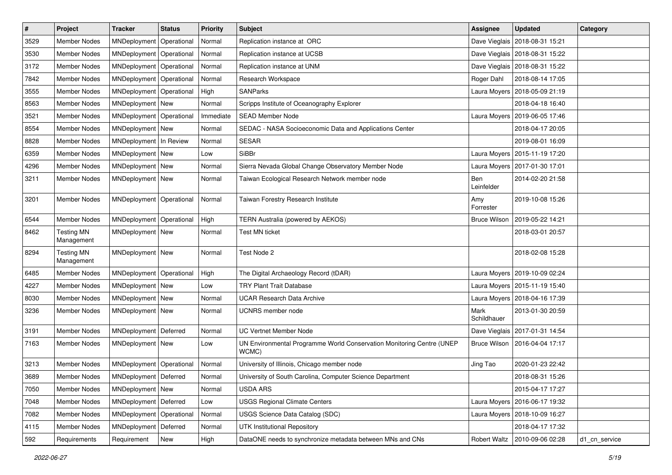| $\vert$ # | Project                         | <b>Tracker</b>             | <b>Status</b> | <b>Priority</b> | <b>Subject</b>                                                                 | <b>Assignee</b>     | <b>Updated</b>                  | Category      |
|-----------|---------------------------------|----------------------------|---------------|-----------------|--------------------------------------------------------------------------------|---------------------|---------------------------------|---------------|
| 3529      | <b>Member Nodes</b>             | MNDeployment               | Operational   | Normal          | Replication instance at ORC                                                    | Dave Vieglais       | 2018-08-31 15:21                |               |
| 3530      | <b>Member Nodes</b>             | MNDeployment               | Operational   | Normal          | Replication instance at UCSB                                                   | Dave Vieglais       | 2018-08-31 15:22                |               |
| 3172      | <b>Member Nodes</b>             | MNDeployment               | Operational   | Normal          | Replication instance at UNM                                                    | Dave Vieglais       | 2018-08-31 15:22                |               |
| 7842      | Member Nodes                    | MNDeployment               | Operational   | Normal          | Research Workspace                                                             | Roger Dahl          | 2018-08-14 17:05                |               |
| 3555      | <b>Member Nodes</b>             | MNDeployment               | Operational   | High            | <b>SANParks</b>                                                                | Laura Moyers        | 2018-05-09 21:19                |               |
| 8563      | Member Nodes                    | MNDeployment New           |               | Normal          | Scripps Institute of Oceanography Explorer                                     |                     | 2018-04-18 16:40                |               |
| 3521      | <b>Member Nodes</b>             | MNDeployment   Operational |               | Immediate       | <b>SEAD Member Node</b>                                                        | Laura Moyers        | 2019-06-05 17:46                |               |
| 8554      | <b>Member Nodes</b>             | MNDeployment New           |               | Normal          | SEDAC - NASA Socioeconomic Data and Applications Center                        |                     | 2018-04-17 20:05                |               |
| 8828      | <b>Member Nodes</b>             | MNDeployment   In Review   |               | Normal          | <b>SESAR</b>                                                                   |                     | 2019-08-01 16:09                |               |
| 6359      | <b>Member Nodes</b>             | MNDeployment New           |               | Low             | SiBBr                                                                          |                     | Laura Moyers   2015-11-19 17:20 |               |
| 4296      | <b>Member Nodes</b>             | MNDeployment New           |               | Normal          | Sierra Nevada Global Change Observatory Member Node                            | Laura Moyers        | 2017-01-30 17:01                |               |
| 3211      | <b>Member Nodes</b>             | MNDeployment New           |               | Normal          | Taiwan Ecological Research Network member node                                 | Ben<br>Leinfelder   | 2014-02-20 21:58                |               |
| 3201      | <b>Member Nodes</b>             | MNDeployment               | Operational   | Normal          | Taiwan Forestry Research Institute                                             | Amy<br>Forrester    | 2019-10-08 15:26                |               |
| 6544      | <b>Member Nodes</b>             | MNDeployment Operational   |               | High            | TERN Australia (powered by AEKOS)                                              | <b>Bruce Wilson</b> | 2019-05-22 14:21                |               |
| 8462      | <b>Testing MN</b><br>Management | MNDeployment New           |               | Normal          | <b>Test MN ticket</b>                                                          |                     | 2018-03-01 20:57                |               |
| 8294      | <b>Testing MN</b><br>Management | MNDeployment New           |               | Normal          | Test Node 2                                                                    |                     | 2018-02-08 15:28                |               |
| 6485      | <b>Member Nodes</b>             | MNDeployment               | Operational   | High            | The Digital Archaeology Record (tDAR)                                          | Laura Moyers        | 2019-10-09 02:24                |               |
| 4227      | Member Nodes                    | MNDeployment New           |               | Low             | <b>TRY Plant Trait Database</b>                                                |                     | Laura Moyers   2015-11-19 15:40 |               |
| 8030      | <b>Member Nodes</b>             | MNDeployment New           |               | Normal          | <b>UCAR Research Data Archive</b>                                              | Laura Moyers        | 2018-04-16 17:39                |               |
| 3236      | Member Nodes                    | MNDeployment   New         |               | Normal          | <b>UCNRS</b> member node                                                       | Mark<br>Schildhauer | 2013-01-30 20:59                |               |
| 3191      | <b>Member Nodes</b>             | MNDeployment               | Deferred      | Normal          | UC Vertnet Member Node                                                         | Dave Vieglais       | 2017-01-31 14:54                |               |
| 7163      | <b>Member Nodes</b>             | MNDeployment New           |               | Low             | UN Environmental Programme World Conservation Monitoring Centre (UNEP<br>WCMC) | <b>Bruce Wilson</b> | 2016-04-04 17:17                |               |
| 3213      | <b>Member Nodes</b>             | MNDeployment               | Operational   | Normal          | University of Illinois, Chicago member node                                    | Jing Tao            | 2020-01-23 22:42                |               |
| 3689      | Member Nodes                    | MNDeployment   Deferred    |               | Normal          | University of South Carolina, Computer Science Department                      |                     | 2018-08-31 15:26                |               |
| 7050      | Member Nodes                    | MNDeployment New           |               | Normal          | <b>USDA ARS</b>                                                                |                     | 2015-04-17 17:27                |               |
| 7048      | Member Nodes                    | MNDeployment               | Deferred      | Low             | <b>USGS Regional Climate Centers</b>                                           | Laura Moyers        | 2016-06-17 19:32                |               |
| 7082      | Member Nodes                    | MNDeployment               | Operational   | Normal          | USGS Science Data Catalog (SDC)                                                | Laura Moyers        | 2018-10-09 16:27                |               |
| 4115      | Member Nodes                    | MNDeployment               | Deferred      | Normal          | <b>UTK Institutional Repository</b>                                            |                     | 2018-04-17 17:32                |               |
| 592       | Requirements                    | Requirement                | New           | High            | DataONE needs to synchronize metadata between MNs and CNs                      | <b>Robert Waltz</b> | 2010-09-06 02:28                | d1 cn service |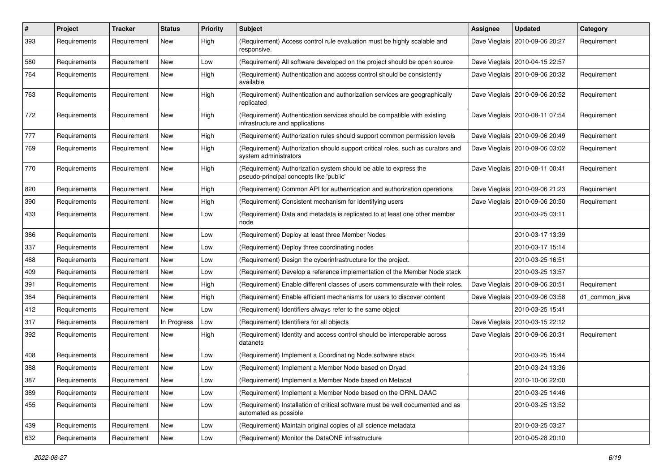| $\#$ | <b>Project</b> | <b>Tracker</b> | <b>Status</b> | <b>Priority</b> | Subject                                                                                                     | <b>Assignee</b> | <b>Updated</b>                   | Category       |
|------|----------------|----------------|---------------|-----------------|-------------------------------------------------------------------------------------------------------------|-----------------|----------------------------------|----------------|
| 393  | Requirements   | Requirement    | New           | High            | (Requirement) Access control rule evaluation must be highly scalable and<br>responsive.                     | Dave Vieglais   | 2010-09-06 20:27                 | Requirement    |
| 580  | Requirements   | Requirement    | New           | Low             | (Requirement) All software developed on the project should be open source                                   |                 | Dave Vieglais   2010-04-15 22:57 |                |
| 764  | Requirements   | Requirement    | New           | High            | (Requirement) Authentication and access control should be consistently<br>available                         |                 | Dave Vieglais   2010-09-06 20:32 | Requirement    |
| 763  | Requirements   | Requirement    | New           | High            | (Requirement) Authentication and authorization services are geographically<br>replicated                    |                 | Dave Vieglais   2010-09-06 20:52 | Requirement    |
| 772  | Requirements   | Requirement    | New           | High            | (Requirement) Authentication services should be compatible with existing<br>infrastructure and applications |                 | Dave Vieglais   2010-08-11 07:54 | Requirement    |
| 777  | Requirements   | Requirement    | New           | High            | (Requirement) Authorization rules should support common permission levels                                   |                 | Dave Vieglais   2010-09-06 20:49 | Requirement    |
| 769  | Requirements   | Requirement    | New           | High            | (Requirement) Authorization should support critical roles, such as curators and<br>system administrators    |                 | Dave Vieglais   2010-09-06 03:02 | Requirement    |
| 770  | Requirements   | Requirement    | New           | High            | (Requirement) Authorization system should be able to express the<br>pseudo-principal concepts like 'public' |                 | Dave Vieglais   2010-08-11 00:41 | Requirement    |
| 820  | Requirements   | Requirement    | New           | High            | (Requirement) Common API for authentication and authorization operations                                    |                 | Dave Vieglais   2010-09-06 21:23 | Requirement    |
| 390  | Requirements   | Requirement    | New           | High            | (Requirement) Consistent mechanism for identifying users                                                    | Dave Vieglais   | 2010-09-06 20:50                 | Requirement    |
| 433  | Requirements   | Requirement    | New           | Low             | (Requirement) Data and metadata is replicated to at least one other member<br>node                          |                 | 2010-03-25 03:11                 |                |
| 386  | Requirements   | Requirement    | New           | Low             | (Requirement) Deploy at least three Member Nodes                                                            |                 | 2010-03-17 13:39                 |                |
| 337  | Requirements   | Requirement    | New           | Low             | (Requirement) Deploy three coordinating nodes                                                               |                 | 2010-03-17 15:14                 |                |
| 468  | Requirements   | Requirement    | New           | Low             | (Requirement) Design the cyberinfrastructure for the project.                                               |                 | 2010-03-25 16:51                 |                |
| 409  | Requirements   | Requirement    | New           | Low             | (Requirement) Develop a reference implementation of the Member Node stack                                   |                 | 2010-03-25 13:57                 |                |
| 391  | Requirements   | Requirement    | New           | High            | (Requirement) Enable different classes of users commensurate with their roles.                              |                 | Dave Vieglais   2010-09-06 20:51 | Requirement    |
| 384  | Requirements   | Requirement    | New           | High            | (Requirement) Enable efficient mechanisms for users to discover content                                     | Dave Vieglais   | 2010-09-06 03:58                 | d1 common java |
| 412  | Requirements   | Requirement    | New           | Low             | (Requirement) Identifiers always refer to the same object                                                   |                 | 2010-03-25 15:41                 |                |
| 317  | Requirements   | Requirement    | In Progress   | Low             | (Requirement) Identifiers for all objects                                                                   |                 | Dave Vieglais   2010-03-15 22:12 |                |
| 392  | Requirements   | Requirement    | New           | High            | (Requirement) Identity and access control should be interoperable across<br>datanets                        |                 | Dave Vieglais   2010-09-06 20:31 | Requirement    |
| 408  | Requirements   | Requirement    | New           | Low             | (Requirement) Implement a Coordinating Node software stack                                                  |                 | 2010-03-25 15:44                 |                |
| 388  | Requirements   | Requirement    | New           | Low             | (Requirement) Implement a Member Node based on Dryad                                                        |                 | 2010-03-24 13:36                 |                |
| 387  | Requirements   | Requirement    | New           | Low             | (Requirement) Implement a Member Node based on Metacat                                                      |                 | 2010-10-06 22:00                 |                |
| 389  | Requirements   | Requirement    | New           | Low             | (Requirement) Implement a Member Node based on the ORNL DAAC                                                |                 | 2010-03-25 14:46                 |                |
| 455  | Requirements   | Requirement    | New           | Low             | (Requirement) Installation of critical software must be well documented and as<br>automated as possible     |                 | 2010-03-25 13:52                 |                |
| 439  | Requirements   | Requirement    | New           | Low             | (Requirement) Maintain original copies of all science metadata                                              |                 | 2010-03-25 03:27                 |                |
| 632  | Requirements   | Requirement    | New           | Low             | (Requirement) Monitor the DataONE infrastructure                                                            |                 | 2010-05-28 20:10                 |                |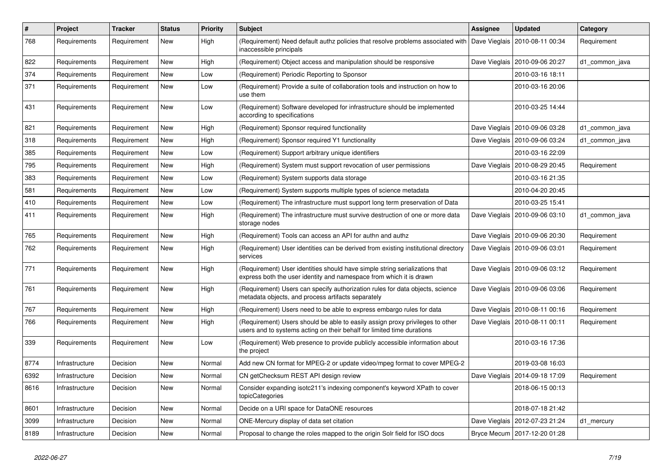| $\#$ | Project        | <b>Tracker</b> | <b>Status</b> | <b>Priority</b> | Subject                                                                                                                                                 | <b>Assignee</b> | <b>Updated</b>                   | Category       |
|------|----------------|----------------|---------------|-----------------|---------------------------------------------------------------------------------------------------------------------------------------------------------|-----------------|----------------------------------|----------------|
| 768  | Requirements   | Requirement    | New           | High            | (Requirement) Need default authz policies that resolve problems associated with<br>inaccessible principals                                              | Dave Vieglais   | 2010-08-11 00:34                 | Requirement    |
| 822  | Requirements   | Requirement    | New           | High            | (Requirement) Object access and manipulation should be responsive                                                                                       |                 | Dave Vieglais   2010-09-06 20:27 | d1_common_java |
| 374  | Requirements   | Requirement    | New           | Low             | (Requirement) Periodic Reporting to Sponsor                                                                                                             |                 | 2010-03-16 18:11                 |                |
| 371  | Requirements   | Requirement    | New           | Low             | (Requirement) Provide a suite of collaboration tools and instruction on how to<br>use them                                                              |                 | 2010-03-16 20:06                 |                |
| 431  | Requirements   | Requirement    | New           | Low             | (Requirement) Software developed for infrastructure should be implemented<br>according to specifications                                                |                 | 2010-03-25 14:44                 |                |
| 821  | Requirements   | Requirement    | New           | High            | (Requirement) Sponsor required functionality                                                                                                            | Dave Vieglais   | 2010-09-06 03:28                 | d1_common_java |
| 318  | Requirements   | Requirement    | New           | High            | (Requirement) Sponsor required Y1 functionality                                                                                                         |                 | Dave Vieglais   2010-09-06 03:24 | d1_common_java |
| 385  | Requirements   | Requirement    | New           | Low             | (Requirement) Support arbitrary unique identifiers                                                                                                      |                 | 2010-03-16 22:09                 |                |
| 795  | Requirements   | Requirement    | New           | High            | (Requirement) System must support revocation of user permissions                                                                                        |                 | Dave Vieglais   2010-08-29 20:45 | Requirement    |
| 383  | Requirements   | Requirement    | New           | Low             | (Requirement) System supports data storage                                                                                                              |                 | 2010-03-16 21:35                 |                |
| 581  | Requirements   | Requirement    | New           | Low             | (Requirement) System supports multiple types of science metadata                                                                                        |                 | 2010-04-20 20:45                 |                |
| 410  | Requirements   | Requirement    | New           | Low             | (Requirement) The infrastructure must support long term preservation of Data                                                                            |                 | 2010-03-25 15:41                 |                |
| 411  | Requirements   | Requirement    | New           | High            | (Requirement) The infrastructure must survive destruction of one or more data<br>storage nodes                                                          | Dave Vieglais   | 2010-09-06 03:10                 | d1 common java |
| 765  | Requirements   | Requirement    | New           | High            | (Requirement) Tools can access an API for authn and authz                                                                                               |                 | Dave Vieglais   2010-09-06 20:30 | Requirement    |
| 762  | Requirements   | Requirement    | New           | High            | (Requirement) User identities can be derived from existing institutional directory<br>services                                                          |                 | Dave Vieglais   2010-09-06 03:01 | Requirement    |
| 771  | Requirements   | Requirement    | New           | High            | (Requirement) User identities should have simple string serializations that<br>express both the user identity and namespace from which it is drawn      |                 | Dave Vieglais   2010-09-06 03:12 | Requirement    |
| 761  | Requirements   | Requirement    | New           | High            | (Requirement) Users can specify authorization rules for data objects, science<br>metadata objects, and process artifacts separately                     |                 | Dave Vieglais   2010-09-06 03:06 | Requirement    |
| 767  | Requirements   | Requirement    | New           | High            | (Requirement) Users need to be able to express embargo rules for data                                                                                   |                 | Dave Vieglais   2010-08-11 00:16 | Requirement    |
| 766  | Requirements   | Requirement    | New           | High            | (Requirement) Users should be able to easily assign proxy privileges to other<br>users and to systems acting on their behalf for limited time durations |                 | Dave Vieglais   2010-08-11 00:11 | Requirement    |
| 339  | Requirements   | Requirement    | New           | Low             | (Requirement) Web presence to provide publicly accessible information about<br>the project                                                              |                 | 2010-03-16 17:36                 |                |
| 8774 | Infrastructure | Decision       | New           | Normal          | Add new CN format for MPEG-2 or update video/mpeg format to cover MPEG-2                                                                                |                 | 2019-03-08 16:03                 |                |
| 6392 | Infrastructure | Decision       | New           | Normal          | CN getChecksum REST API design review                                                                                                                   |                 | Dave Vieglais   2014-09-18 17:09 | Requirement    |
| 8616 | Infrastructure | Decision       | New           | Normal          | Consider expanding isotc211's indexing component's keyword XPath to cover<br>topicCategories                                                            |                 | 2018-06-15 00:13                 |                |
| 8601 | Infrastructure | Decision       | New           | Normal          | Decide on a URI space for DataONE resources                                                                                                             |                 | 2018-07-18 21:42                 |                |
| 3099 | Infrastructure | Decision       | New           | Normal          | ONE-Mercury display of data set citation                                                                                                                |                 | Dave Vieglais   2012-07-23 21:24 | d1_mercury     |
| 8189 | Infrastructure | Decision       | New           | Normal          | Proposal to change the roles mapped to the origin Solr field for ISO docs                                                                               |                 | Bryce Mecum   2017-12-20 01:28   |                |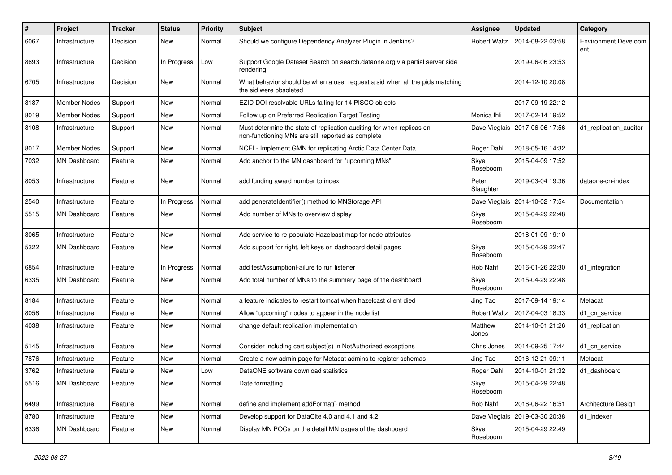| $\pmb{\#}$ | Project             | <b>Tracker</b> | <b>Status</b> | <b>Priority</b> | <b>Subject</b>                                                                                                              | <b>Assignee</b>     | <b>Updated</b>   | Category                    |
|------------|---------------------|----------------|---------------|-----------------|-----------------------------------------------------------------------------------------------------------------------------|---------------------|------------------|-----------------------------|
| 6067       | Infrastructure      | Decision       | New           | Normal          | Should we configure Dependency Analyzer Plugin in Jenkins?                                                                  | <b>Robert Waltz</b> | 2014-08-22 03:58 | Environment.Developm<br>ent |
| 8693       | Infrastructure      | Decision       | In Progress   | Low             | Support Google Dataset Search on search.dataone.org via partial server side<br>rendering                                    |                     | 2019-06-06 23:53 |                             |
| 6705       | Infrastructure      | Decision       | New           | Normal          | What behavior should be when a user request a sid when all the pids matching<br>the sid were obsoleted                      |                     | 2014-12-10 20:08 |                             |
| 8187       | <b>Member Nodes</b> | Support        | <b>New</b>    | Normal          | EZID DOI resolvable URLs failing for 14 PISCO objects                                                                       |                     | 2017-09-19 22:12 |                             |
| 8019       | <b>Member Nodes</b> | Support        | New           | Normal          | Follow up on Preferred Replication Target Testing                                                                           | Monica Ihli         | 2017-02-14 19:52 |                             |
| 8108       | Infrastructure      | Support        | New           | Normal          | Must determine the state of replication auditing for when replicas on<br>non-functioning MNs are still reported as complete | Dave Vieglais       | 2017-06-06 17:56 | d1_replication_auditor      |
| 8017       | <b>Member Nodes</b> | Support        | New           | Normal          | NCEI - Implement GMN for replicating Arctic Data Center Data                                                                | Roger Dahl          | 2018-05-16 14:32 |                             |
| 7032       | <b>MN Dashboard</b> | Feature        | New           | Normal          | Add anchor to the MN dashboard for "upcoming MNs"                                                                           | Skye<br>Roseboom    | 2015-04-09 17:52 |                             |
| 8053       | Infrastructure      | Feature        | New           | Normal          | add funding award number to index                                                                                           | Peter<br>Slaughter  | 2019-03-04 19:36 | dataone-cn-index            |
| 2540       | Infrastructure      | Feature        | In Progress   | Normal          | add generateIdentifier() method to MNStorage API                                                                            | Dave Vieglais       | 2014-10-02 17:54 | Documentation               |
| 5515       | <b>MN Dashboard</b> | Feature        | New           | Normal          | Add number of MNs to overview display                                                                                       | Skye<br>Roseboom    | 2015-04-29 22:48 |                             |
| 8065       | Infrastructure      | Feature        | New           | Normal          | Add service to re-populate Hazelcast map for node attributes                                                                |                     | 2018-01-09 19:10 |                             |
| 5322       | <b>MN Dashboard</b> | Feature        | New           | Normal          | Add support for right, left keys on dashboard detail pages                                                                  | Skye<br>Roseboom    | 2015-04-29 22:47 |                             |
| 6854       | Infrastructure      | Feature        | In Progress   | Normal          | add testAssumptionFailure to run listener                                                                                   | Rob Nahf            | 2016-01-26 22:30 | d1_integration              |
| 6335       | MN Dashboard        | Feature        | New           | Normal          | Add total number of MNs to the summary page of the dashboard                                                                | Skye<br>Roseboom    | 2015-04-29 22:48 |                             |
| 8184       | Infrastructure      | Feature        | New           | Normal          | a feature indicates to restart tomcat when hazelcast client died                                                            | Jing Tao            | 2017-09-14 19:14 | Metacat                     |
| 8058       | Infrastructure      | Feature        | New           | Normal          | Allow "upcoming" nodes to appear in the node list                                                                           | <b>Robert Waltz</b> | 2017-04-03 18:33 | d1_cn_service               |
| 4038       | Infrastructure      | Feature        | New           | Normal          | change default replication implementation                                                                                   | Matthew<br>Jones    | 2014-10-01 21:26 | d1_replication              |
| 5145       | Infrastructure      | Feature        | New           | Normal          | Consider including cert subject(s) in NotAuthorized exceptions                                                              | Chris Jones         | 2014-09-25 17:44 | d1 cn service               |
| 7876       | Infrastructure      | Feature        | New           | Normal          | Create a new admin page for Metacat admins to register schemas                                                              | Jing Tao            | 2016-12-21 09:11 | Metacat                     |
| 3762       | Infrastructure      | Feature        | New           | Low             | DataONE software download statistics                                                                                        | Roger Dahl          | 2014-10-01 21:32 | d1 dashboard                |
| 5516       | MN Dashboard        | Feature        | New           | Normal          | Date formatting                                                                                                             | Skye<br>Roseboom    | 2015-04-29 22:48 |                             |
| 6499       | Infrastructure      | Feature        | New           | Normal          | define and implement addFormat() method                                                                                     | Rob Nahf            | 2016-06-22 16:51 | Architecture Design         |
| 8780       | Infrastructure      | Feature        | New           | Normal          | Develop support for DataCite 4.0 and 4.1 and 4.2                                                                            | Dave Vieglais       | 2019-03-30 20:38 | d1_indexer                  |
| 6336       | MN Dashboard        | Feature        | New           | Normal          | Display MN POCs on the detail MN pages of the dashboard                                                                     | Skye<br>Roseboom    | 2015-04-29 22:49 |                             |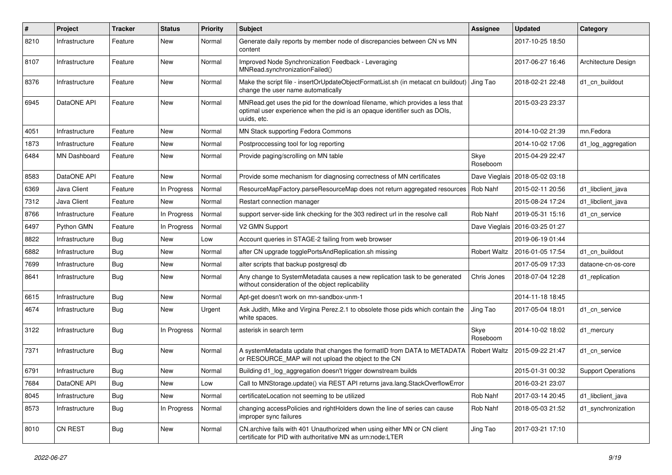| $\pmb{\#}$ | Project        | <b>Tracker</b> | <b>Status</b> | <b>Priority</b> | <b>Subject</b>                                                                                                                                                             | Assignee            | <b>Updated</b>   | Category                  |
|------------|----------------|----------------|---------------|-----------------|----------------------------------------------------------------------------------------------------------------------------------------------------------------------------|---------------------|------------------|---------------------------|
| 8210       | Infrastructure | Feature        | New           | Normal          | Generate daily reports by member node of discrepancies between CN vs MN<br>content                                                                                         |                     | 2017-10-25 18:50 |                           |
| 8107       | Infrastructure | Feature        | New           | Normal          | Improved Node Synchronization Feedback - Leveraging<br>MNRead.synchronizationFailed()                                                                                      |                     | 2017-06-27 16:46 | Architecture Design       |
| 8376       | Infrastructure | Feature        | New           | Normal          | Make the script file - insertOrUpdateObjectFormatList.sh (in metacat cn buildout)   Jing Tao<br>change the user name automatically                                         |                     | 2018-02-21 22:48 | d1 cn buildout            |
| 6945       | DataONE API    | Feature        | New           | Normal          | MNRead.get uses the pid for the download filename, which provides a less that<br>optimal user experience when the pid is an opaque identifier such as DOIs,<br>uuids, etc. |                     | 2015-03-23 23:37 |                           |
| 4051       | Infrastructure | Feature        | New           | Normal          | MN Stack supporting Fedora Commons                                                                                                                                         |                     | 2014-10-02 21:39 | mn.Fedora                 |
| 1873       | Infrastructure | Feature        | New           | Normal          | Postproccessing tool for log reporting                                                                                                                                     |                     | 2014-10-02 17:06 | d1_log_aggregation        |
| 6484       | MN Dashboard   | Feature        | New           | Normal          | Provide paging/scrolling on MN table                                                                                                                                       | Skye<br>Roseboom    | 2015-04-29 22:47 |                           |
| 8583       | DataONE API    | Feature        | New           | Normal          | Provide some mechanism for diagnosing correctness of MN certificates                                                                                                       | Dave Vieglais       | 2018-05-02 03:18 |                           |
| 6369       | Java Client    | Feature        | In Progress   | Normal          | ResourceMapFactory.parseResourceMap does not return aggregated resources                                                                                                   | Rob Nahf            | 2015-02-11 20:56 | d1_libclient_java         |
| 7312       | Java Client    | Feature        | New           | Normal          | Restart connection manager                                                                                                                                                 |                     | 2015-08-24 17:24 | d1 libclient java         |
| 8766       | Infrastructure | Feature        | In Progress   | Normal          | support server-side link checking for the 303 redirect url in the resolve call                                                                                             | Rob Nahf            | 2019-05-31 15:16 | d1 cn service             |
| 6497       | Python GMN     | Feature        | In Progress   | Normal          | V2 GMN Support                                                                                                                                                             | Dave Vieglais       | 2016-03-25 01:27 |                           |
| 8822       | Infrastructure | <b>Bug</b>     | New           | Low             | Account queries in STAGE-2 failing from web browser                                                                                                                        |                     | 2019-06-19 01:44 |                           |
| 6882       | Infrastructure | <b>Bug</b>     | New           | Normal          | after CN upgrade togglePortsAndReplication.sh missing                                                                                                                      | <b>Robert Waltz</b> | 2016-01-05 17:54 | d1 cn buildout            |
| 7699       | Infrastructure | Bug            | New           | Normal          | alter scripts that backup postgresql db                                                                                                                                    |                     | 2017-05-09 17:33 | dataone-cn-os-core        |
| 8641       | Infrastructure | Bug            | New           | Normal          | Any change to SystemMetadata causes a new replication task to be generated<br>without consideration of the object replicability                                            | Chris Jones         | 2018-07-04 12:28 | d1 replication            |
| 6615       | Infrastructure | Bug            | New           | Normal          | Apt-get doesn't work on mn-sandbox-unm-1                                                                                                                                   |                     | 2014-11-18 18:45 |                           |
| 4674       | Infrastructure | Bug            | New           | Urgent          | Ask Judith, Mike and Virgina Perez.2.1 to obsolete those pids which contain the<br>white spaces.                                                                           | Jing Tao            | 2017-05-04 18:01 | d1 cn service             |
| 3122       | Infrastructure | Bug            | In Progress   | Normal          | asterisk in search term                                                                                                                                                    | Skye<br>Roseboom    | 2014-10-02 18:02 | d1 mercury                |
| 7371       | Infrastructure | <b>Bug</b>     | New           | Normal          | A systemMetadata update that changes the formatID from DATA to METADATA<br>or RESOURCE MAP will not upload the object to the CN                                            | <b>Robert Waltz</b> | 2015-09-22 21:47 | d1 cn service             |
| 6791       | Infrastructure | Bug            | New           | Normal          | Building d1 log aggregation doesn't trigger downstream builds                                                                                                              |                     | 2015-01-31 00:32 | <b>Support Operations</b> |
| 7684       | DataONE API    | Bug            | New           | Low             | Call to MNStorage.update() via REST API returns java.lang.StackOverflowError                                                                                               |                     | 2016-03-21 23:07 |                           |
| 8045       | Infrastructure | Bug            | New           | Normal          | certificateLocation not seeming to be utilized                                                                                                                             | Rob Nahf            | 2017-03-14 20:45 | d1_libclient_java         |
| 8573       | Infrastructure | Bug            | In Progress   | Normal          | changing accessPolicies and rightHolders down the line of series can cause<br>improper sync failures                                                                       | Rob Nahf            | 2018-05-03 21:52 | d1 synchronization        |
| 8010       | CN REST        | Bug            | New           | Normal          | CN.archive fails with 401 Unauthorized when using either MN or CN client<br>certificate for PID with authoritative MN as urn:node:LTER                                     | Jing Tao            | 2017-03-21 17:10 |                           |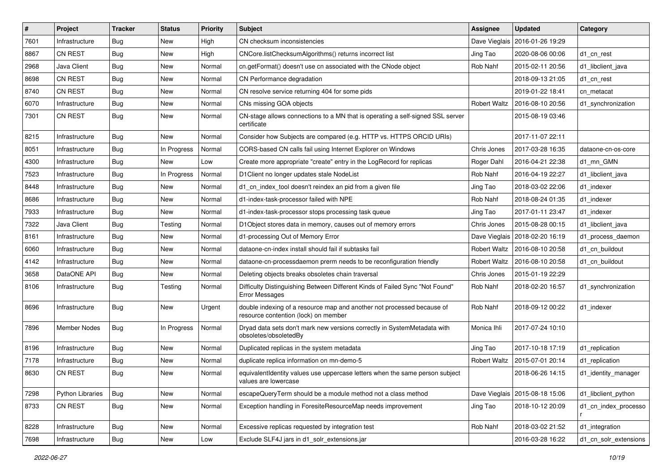| $\#$ | Project                 | <b>Tracker</b> | <b>Status</b> | <b>Priority</b> | Subject                                                                                                        | Assignee            | <b>Updated</b>   | Category              |
|------|-------------------------|----------------|---------------|-----------------|----------------------------------------------------------------------------------------------------------------|---------------------|------------------|-----------------------|
| 7601 | Infrastructure          | <b>Bug</b>     | New           | High            | CN checksum inconsistencies                                                                                    | Dave Vieglais       | 2016-01-26 19:29 |                       |
| 8867 | <b>CN REST</b>          | <b>Bug</b>     | New           | High            | CNCore.listChecksumAlgorithms() returns incorrect list                                                         | Jing Tao            | 2020-08-06 00:06 | d1 cn rest            |
| 2968 | Java Client             | <b>Bug</b>     | New           | Normal          | cn.getFormat() doesn't use cn associated with the CNode object                                                 | Rob Nahf            | 2015-02-11 20:56 | d1 libclient java     |
| 8698 | <b>CN REST</b>          | <b>Bug</b>     | New           | Normal          | CN Performance degradation                                                                                     |                     | 2018-09-13 21:05 | d1 cn rest            |
| 8740 | <b>CN REST</b>          | <b>Bug</b>     | New           | Normal          | CN resolve service returning 404 for some pids                                                                 |                     | 2019-01-22 18:41 | cn metacat            |
| 6070 | Infrastructure          | Bug            | New           | Normal          | CNs missing GOA objects                                                                                        | <b>Robert Waltz</b> | 2016-08-10 20:56 | d1 synchronization    |
| 7301 | <b>CN REST</b>          | <b>Bug</b>     | New           | Normal          | CN-stage allows connections to a MN that is operating a self-signed SSL server<br>certificate                  |                     | 2015-08-19 03:46 |                       |
| 8215 | Infrastructure          | Bug            | New           | Normal          | Consider how Subjects are compared (e.g. HTTP vs. HTTPS ORCID URIs)                                            |                     | 2017-11-07 22:11 |                       |
| 8051 | Infrastructure          | Bug            | In Progress   | Normal          | CORS-based CN calls fail using Internet Explorer on Windows                                                    | Chris Jones         | 2017-03-28 16:35 | dataone-cn-os-core    |
| 4300 | Infrastructure          | <b>Bug</b>     | <b>New</b>    | Low             | Create more appropriate "create" entry in the LogRecord for replicas                                           | Roger Dahl          | 2016-04-21 22:38 | d1 mn GMN             |
| 7523 | Infrastructure          | <b>Bug</b>     | In Progress   | Normal          | D1Client no longer updates stale NodeList                                                                      | Rob Nahf            | 2016-04-19 22:27 | d1 libclient java     |
| 8448 | Infrastructure          | <b>Bug</b>     | New           | Normal          | d1_cn_index_tool doesn't reindex an pid from a given file                                                      | Jing Tao            | 2018-03-02 22:06 | d1 indexer            |
| 8686 | Infrastructure          | <b>Bug</b>     | New           | Normal          | d1-index-task-processor failed with NPE                                                                        | Rob Nahf            | 2018-08-24 01:35 | d1 indexer            |
| 7933 | Infrastructure          | <b>Bug</b>     | New           | Normal          | d1-index-task-processor stops processing task queue                                                            | Jing Tao            | 2017-01-11 23:47 | d1 indexer            |
| 7322 | Java Client             | <b>Bug</b>     | Testing       | Normal          | D1Object stores data in memory, causes out of memory errors                                                    | Chris Jones         | 2015-08-28 00:15 | d1 libclient java     |
| 8161 | Infrastructure          | <b>Bug</b>     | New           | Normal          | d1-processing Out of Memory Error                                                                              | Dave Vieglais       | 2018-02-20 16:19 | d1_process_daemon     |
| 6060 | Infrastructure          | Bug            | New           | Normal          | dataone-cn-index install should fail if subtasks fail                                                          | <b>Robert Waltz</b> | 2016-08-10 20:58 | d1_cn_buildout        |
| 4142 | Infrastructure          | <b>Bug</b>     | New           | Normal          | dataone-cn-processdaemon prerm needs to be reconfiguration friendly                                            | <b>Robert Waltz</b> | 2016-08-10 20:58 | d1 cn buildout        |
| 3658 | DataONE API             | <b>Bug</b>     | New           | Normal          | Deleting objects breaks obsoletes chain traversal                                                              | Chris Jones         | 2015-01-19 22:29 |                       |
| 8106 | Infrastructure          | <b>Bug</b>     | Testing       | Normal          | Difficulty Distinguishing Between Different Kinds of Failed Sync "Not Found"<br><b>Error Messages</b>          | Rob Nahf            | 2018-02-20 16:57 | d1_synchronization    |
| 8696 | Infrastructure          | <b>Bug</b>     | New           | Urgent          | double indexing of a resource map and another not processed because of<br>resource contention (lock) on member | Rob Nahf            | 2018-09-12 00:22 | d1_indexer            |
| 7896 | <b>Member Nodes</b>     | Bug            | In Progress   | Normal          | Dryad data sets don't mark new versions correctly in SystemMetadata with<br>obsoletes/obsoletedBy              | Monica Ihli         | 2017-07-24 10:10 |                       |
| 8196 | Infrastructure          | Bug            | New           | Normal          | Duplicated replicas in the system metadata                                                                     | Jing Tao            | 2017-10-18 17:19 | d1 replication        |
| 7178 | Infrastructure          | <b>Bug</b>     | New           | Normal          | duplicate replica information on mn-demo-5                                                                     | <b>Robert Waltz</b> | 2015-07-01 20:14 | d1 replication        |
| 8630 | <b>CN REST</b>          | <b>Bug</b>     | New           | Normal          | equivalentIdentity values use uppercase letters when the same person subject<br>values are lowercase           |                     | 2018-06-26 14:15 | d1_identity_manager   |
| 7298 | <b>Python Libraries</b> | Bug            | New           | Normal          | escapeQueryTerm should be a module method not a class method                                                   | Dave Vieglais       | 2015-08-18 15:06 | d1_libclient_python   |
| 8733 | CN REST                 | Bug            | New           | Normal          | Exception handling in ForesiteResourceMap needs improvement                                                    | Jing Tao            | 2018-10-12 20:09 | d1_cn_index_processo  |
| 8228 | Infrastructure          | <b>Bug</b>     | New           | Normal          | Excessive replicas requested by integration test                                                               | Rob Nahf            | 2018-03-02 21:52 | d1_integration        |
| 7698 | Infrastructure          | <b>Bug</b>     | New           | Low             | Exclude SLF4J jars in d1 solr extensions.jar                                                                   |                     | 2016-03-28 16:22 | d1_cn_solr_extensions |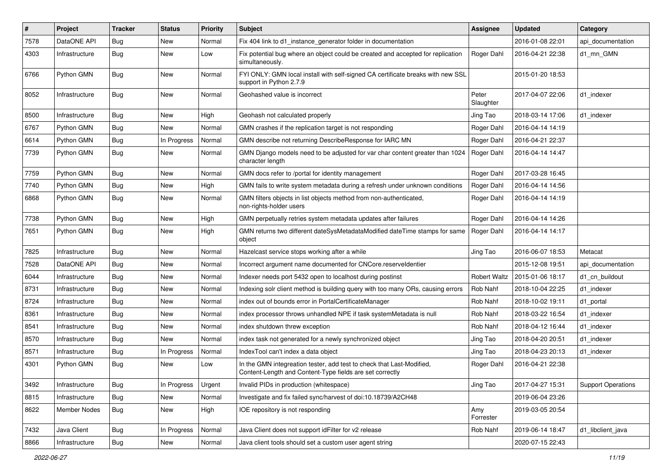| $\sharp$ | <b>Project</b> | <b>Tracker</b> | <b>Status</b> | <b>Priority</b> | Subject                                                                                                                           | <b>Assignee</b>     | <b>Updated</b>   | Category                  |
|----------|----------------|----------------|---------------|-----------------|-----------------------------------------------------------------------------------------------------------------------------------|---------------------|------------------|---------------------------|
| 7578     | DataONE API    | <b>Bug</b>     | New           | Normal          | Fix 404 link to d1_instance_generator folder in documentation                                                                     |                     | 2016-01-08 22:01 | api documentation         |
| 4303     | Infrastructure | Bug            | New           | Low             | Fix potential bug where an object could be created and accepted for replication<br>simultaneously.                                | Roger Dahl          | 2016-04-21 22:38 | d1_mn_GMN                 |
| 6766     | Python GMN     | Bug            | New           | Normal          | FYI ONLY: GMN local install with self-signed CA certificate breaks with new SSL<br>support in Python 2.7.9                        |                     | 2015-01-20 18:53 |                           |
| 8052     | Infrastructure | Bug            | New           | Normal          | Geohashed value is incorrect                                                                                                      | Peter<br>Slaughter  | 2017-04-07 22:06 | d1_indexer                |
| 8500     | Infrastructure | Bug            | New           | High            | Geohash not calculated properly                                                                                                   | Jing Tao            | 2018-03-14 17:06 | d1_indexer                |
| 6767     | Python GMN     | Bug            | New           | Normal          | GMN crashes if the replication target is not responding                                                                           | Roger Dahl          | 2016-04-14 14:19 |                           |
| 6614     | Python GMN     | Bug            | In Progress   | Normal          | GMN describe not returning DescribeResponse for IARC MN                                                                           | Roger Dahl          | 2016-04-21 22:37 |                           |
| 7739     | Python GMN     | Bug            | New           | Normal          | GMN Django models need to be adjusted for var char content greater than 1024<br>character length                                  | Roger Dahl          | 2016-04-14 14:47 |                           |
| 7759     | Python GMN     | <b>Bug</b>     | <b>New</b>    | Normal          | GMN docs refer to /portal for identity management                                                                                 | Roger Dahl          | 2017-03-28 16:45 |                           |
| 7740     | Python GMN     | <b>Bug</b>     | New           | High            | GMN fails to write system metadata during a refresh under unknown conditions                                                      | Roger Dahl          | 2016-04-14 14:56 |                           |
| 6868     | Python GMN     | <b>Bug</b>     | New           | Normal          | GMN filters objects in list objects method from non-authenticated,<br>non-rights-holder users                                     | Roger Dahl          | 2016-04-14 14:19 |                           |
| 7738     | Python GMN     | Bug            | New           | High            | GMN perpetually retries system metadata updates after failures                                                                    | Roger Dahl          | 2016-04-14 14:26 |                           |
| 7651     | Python GMN     | Bug            | New           | High            | GMN returns two different dateSysMetadataModified dateTime stamps for same<br>object                                              | Roger Dahl          | 2016-04-14 14:17 |                           |
| 7825     | Infrastructure | Bug            | New           | Normal          | Hazelcast service stops working after a while                                                                                     | Jing Tao            | 2016-06-07 18:53 | Metacat                   |
| 7528     | DataONE API    | Bug            | New           | Normal          | Incorrect argument name documented for CNCore.reserveldentier                                                                     |                     | 2015-12-08 19:51 | api documentation         |
| 6044     | Infrastructure | <b>Bug</b>     | New           | Normal          | Indexer needs port 5432 open to localhost during postinst                                                                         | <b>Robert Waltz</b> | 2015-01-06 18:17 | d1_cn_buildout            |
| 8731     | Infrastructure | Bug            | New           | Normal          | Indexing solr client method is building query with too many ORs, causing errors                                                   | Rob Nahf            | 2018-10-04 22:25 | d1_indexer                |
| 8724     | Infrastructure | Bug            | New           | Normal          | index out of bounds error in PortalCertificateManager                                                                             | Rob Nahf            | 2018-10-02 19:11 | d1 portal                 |
| 8361     | Infrastructure | <b>Bug</b>     | New           | Normal          | index processor throws unhandled NPE if task systemMetadata is null                                                               | Rob Nahf            | 2018-03-22 16:54 | d1 indexer                |
| 8541     | Infrastructure | Bug            | New           | Normal          | index shutdown threw exception                                                                                                    | Rob Nahf            | 2018-04-12 16:44 | d1_indexer                |
| 8570     | Infrastructure | <b>Bug</b>     | New           | Normal          | index task not generated for a newly synchronized object                                                                          | Jing Tao            | 2018-04-20 20:51 | d1 indexer                |
| 8571     | Infrastructure | <b>Bug</b>     | In Progress   | Normal          | IndexTool can't index a data object                                                                                               | Jing Tao            | 2018-04-23 20:13 | d1 indexer                |
| 4301     | Python GMN     | Bug            | New           | Low             | In the GMN integreation tester, add test to check that Last-Modified,<br>Content-Length and Content-Type fields are set correctly | Roger Dahl          | 2016-04-21 22:38 |                           |
| 3492     | Infrastructure | Bug            | In Progress   | Urgent          | Invalid PIDs in production (whitespace)                                                                                           | Jing Tao            | 2017-04-27 15:31 | <b>Support Operations</b> |
| 8815     | Infrastructure | Bug            | New           | Normal          | Investigate and fix failed sync/harvest of doi:10.18739/A2CH48                                                                    |                     | 2019-06-04 23:26 |                           |
| 8622     | Member Nodes   | <b>Bug</b>     | New           | High            | IOE repository is not responding                                                                                                  | Amy<br>Forrester    | 2019-03-05 20:54 |                           |
| 7432     | Java Client    | <b>Bug</b>     | In Progress   | Normal          | Java Client does not support idFilter for v2 release                                                                              | Rob Nahf            | 2019-06-14 18:47 | d1_libclient_java         |
| 8866     | Infrastructure | Bug            | New           | Normal          | Java client tools should set a custom user agent string                                                                           |                     | 2020-07-15 22:43 |                           |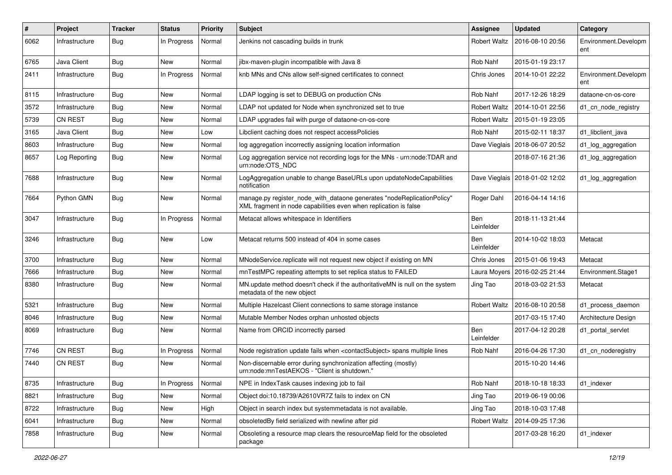| #    | Project        | <b>Tracker</b> | <b>Status</b> | <b>Priority</b> | <b>Subject</b>                                                                                                                             | Assignee                 | <b>Updated</b>   | Category                    |
|------|----------------|----------------|---------------|-----------------|--------------------------------------------------------------------------------------------------------------------------------------------|--------------------------|------------------|-----------------------------|
| 6062 | Infrastructure | Bug            | In Progress   | Normal          | Jenkins not cascading builds in trunk                                                                                                      | <b>Robert Waltz</b>      | 2016-08-10 20:56 | Environment.Developm<br>ent |
| 6765 | Java Client    | <b>Bug</b>     | New           | Normal          | jibx-maven-plugin incompatible with Java 8                                                                                                 | Rob Nahf                 | 2015-01-19 23:17 |                             |
| 2411 | Infrastructure | <b>Bug</b>     | In Progress   | Normal          | knb MNs and CNs allow self-signed certificates to connect                                                                                  | Chris Jones              | 2014-10-01 22:22 | Environment.Developm<br>ent |
| 8115 | Infrastructure | Bug            | New           | Normal          | LDAP logging is set to DEBUG on production CNs                                                                                             | Rob Nahf                 | 2017-12-26 18:29 | dataone-cn-os-core          |
| 3572 | Infrastructure | Bug            | New           | Normal          | LDAP not updated for Node when synchronized set to true                                                                                    | <b>Robert Waltz</b>      | 2014-10-01 22:56 | d1_cn_node_registry         |
| 5739 | CN REST        | Bug            | New           | Normal          | LDAP upgrades fail with purge of dataone-cn-os-core                                                                                        | <b>Robert Waltz</b>      | 2015-01-19 23:05 |                             |
| 3165 | Java Client    | <b>Bug</b>     | New           | Low             | Libclient caching does not respect accessPolicies                                                                                          | Rob Nahf                 | 2015-02-11 18:37 | d1_libclient_java           |
| 8603 | Infrastructure | Bug            | <b>New</b>    | Normal          | log aggregation incorrectly assigning location information                                                                                 | Dave Vieglais            | 2018-06-07 20:52 | d1_log_aggregation          |
| 8657 | Log Reporting  | Bug            | New           | Normal          | Log aggregation service not recording logs for the MNs - urn:node:TDAR and<br>urn:node:OTS_NDC                                             |                          | 2018-07-16 21:36 | d1_log_aggregation          |
| 7688 | Infrastructure | Bug            | New           | Normal          | LogAggregation unable to change BaseURLs upon updateNodeCapabilities<br>notification                                                       | Dave Vieglais            | 2018-01-02 12:02 | d1_log_aggregation          |
| 7664 | Python GMN     | Bug            | New           | Normal          | manage.py register_node_with_dataone generates "nodeReplicationPolicy"<br>XML fragment in node capabilities even when replication is false | Roger Dahl               | 2016-04-14 14:16 |                             |
| 3047 | Infrastructure | Bug            | In Progress   | Normal          | Metacat allows whitespace in Identifiers                                                                                                   | <b>Ben</b><br>Leinfelder | 2018-11-13 21:44 |                             |
| 3246 | Infrastructure | Bug            | <b>New</b>    | Low             | Metacat returns 500 instead of 404 in some cases                                                                                           | Ben<br>Leinfelder        | 2014-10-02 18:03 | Metacat                     |
| 3700 | Infrastructure | Bug            | New           | Normal          | MNodeService.replicate will not request new object if existing on MN                                                                       | Chris Jones              | 2015-01-06 19:43 | Metacat                     |
| 7666 | Infrastructure | <b>Bug</b>     | New           | Normal          | mnTestMPC repeating attempts to set replica status to FAILED                                                                               | Laura Moyers             | 2016-02-25 21:44 | Environment.Stage1          |
| 8380 | Infrastructure | <b>Bug</b>     | New           | Normal          | MN.update method doesn't check if the authoritativeMN is null on the system<br>metadata of the new object                                  | Jing Tao                 | 2018-03-02 21:53 | Metacat                     |
| 5321 | Infrastructure | Bug            | New           | Normal          | Multiple Hazelcast Client connections to same storage instance                                                                             | <b>Robert Waltz</b>      | 2016-08-10 20:58 | d1_process_daemon           |
| 8046 | Infrastructure | Bug            | New           | Normal          | Mutable Member Nodes orphan unhosted objects                                                                                               |                          | 2017-03-15 17:40 | Architecture Design         |
| 8069 | Infrastructure | <b>Bug</b>     | New           | Normal          | Name from ORCID incorrectly parsed                                                                                                         | <b>Ben</b><br>Leinfelder | 2017-04-12 20:28 | d1 portal servlet           |
| 7746 | CN REST        | Bug            | In Progress   | Normal          | Node registration update fails when <contactsubject> spans multiple lines</contactsubject>                                                 | Rob Nahf                 | 2016-04-26 17:30 | d1 cn noderegistry          |
| 7440 | <b>CN REST</b> | <b>Bug</b>     | New           | Normal          | Non-discernable error during synchronization affecting (mostly)<br>urn:node:mnTestAEKOS - "Client is shutdown."                            |                          | 2015-10-20 14:46 |                             |
| 8735 | Infrastructure | Bug            | In Progress   | Normal          | NPE in IndexTask causes indexing job to fail                                                                                               | Rob Nahf                 | 2018-10-18 18:33 | d1 indexer                  |
| 8821 | Infrastructure | Bug            | New           | Normal          | Object doi:10.18739/A2610VR7Z fails to index on CN                                                                                         | Jing Tao                 | 2019-06-19 00:06 |                             |
| 8722 | Infrastructure | Bug            | New           | High            | Object in search index but systemmetadata is not available.                                                                                | Jing Tao                 | 2018-10-03 17:48 |                             |
| 6041 | Infrastructure | Bug            | New           | Normal          | obsoletedBy field serialized with newline after pid                                                                                        | <b>Robert Waltz</b>      | 2014-09-25 17:36 |                             |
| 7858 | Infrastructure | <b>Bug</b>     | New           | Normal          | Obsoleting a resource map clears the resourceMap field for the obsoleted<br>package                                                        |                          | 2017-03-28 16:20 | d1_indexer                  |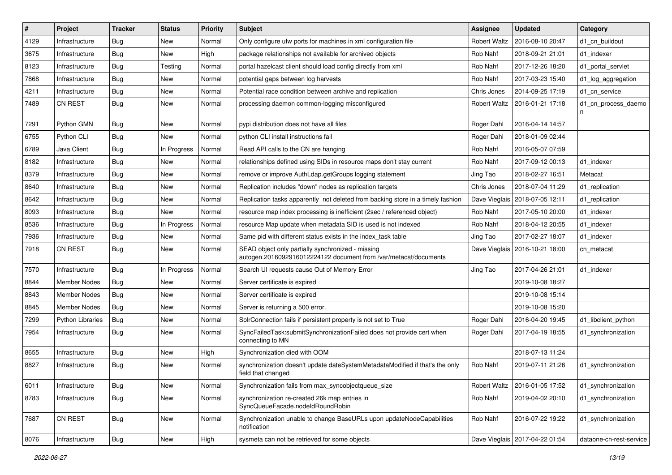| $\pmb{\#}$ | Project                 | <b>Tracker</b> | <b>Status</b> | <b>Priority</b> | <b>Subject</b>                                                                                                        | <b>Assignee</b>     | <b>Updated</b>                   | Category                 |
|------------|-------------------------|----------------|---------------|-----------------|-----------------------------------------------------------------------------------------------------------------------|---------------------|----------------------------------|--------------------------|
| 4129       | Infrastructure          | <b>Bug</b>     | New           | Normal          | Only configure ufw ports for machines in xml configuration file                                                       | <b>Robert Waltz</b> | 2016-08-10 20:47                 | d1 cn buildout           |
| 3675       | Infrastructure          | Bug            | <b>New</b>    | High            | package relationships not available for archived objects                                                              | Rob Nahf            | 2018-09-21 21:01                 | d1 indexer               |
| 8123       | Infrastructure          | <b>Bug</b>     | Testing       | Normal          | portal hazelcast client should load config directly from xml                                                          | Rob Nahf            | 2017-12-26 18:20                 | d1 portal servlet        |
| 7868       | Infrastructure          | <b>Bug</b>     | New           | Normal          | potential gaps between log harvests                                                                                   | Rob Nahf            | 2017-03-23 15:40                 | d1_log_aggregation       |
| 4211       | Infrastructure          | <b>Bug</b>     | <b>New</b>    | Normal          | Potential race condition between archive and replication                                                              | Chris Jones         | 2014-09-25 17:19                 | d1 cn service            |
| 7489       | <b>CN REST</b>          | <b>Bug</b>     | New           | Normal          | processing daemon common-logging misconfigured                                                                        | <b>Robert Waltz</b> | 2016-01-21 17:18                 | d1 cn process daemo<br>n |
| 7291       | Python GMN              | Bug            | New           | Normal          | pypi distribution does not have all files                                                                             | Roger Dahl          | 2016-04-14 14:57                 |                          |
| 6755       | Python CLI              | <b>Bug</b>     | New           | Normal          | python CLI install instructions fail                                                                                  | Roger Dahl          | 2018-01-09 02:44                 |                          |
| 6789       | Java Client             | Bug            | In Progress   | Normal          | Read API calls to the CN are hanging                                                                                  | Rob Nahf            | 2016-05-07 07:59                 |                          |
| 8182       | Infrastructure          | <b>Bug</b>     | New           | Normal          | relationships defined using SIDs in resource maps don't stay current                                                  | Rob Nahf            | 2017-09-12 00:13                 | d1_indexer               |
| 8379       | Infrastructure          | <b>Bug</b>     | New           | Normal          | remove or improve AuthLdap.getGroups logging statement                                                                | Jing Tao            | 2018-02-27 16:51                 | Metacat                  |
| 8640       | Infrastructure          | <b>Bug</b>     | New           | Normal          | Replication includes "down" nodes as replication targets                                                              | Chris Jones         | 2018-07-04 11:29                 | d1 replication           |
| 8642       | Infrastructure          | <b>Bug</b>     | New           | Normal          | Replication tasks apparently not deleted from backing store in a timely fashion                                       | Dave Vieglais       | 2018-07-05 12:11                 | d1 replication           |
| 8093       | Infrastructure          | Bug            | <b>New</b>    | Normal          | resource map index processing is inefficient (2sec / referenced object)                                               | Rob Nahf            | 2017-05-10 20:00                 | d1 indexer               |
| 8536       | Infrastructure          | Bug            | In Progress   | Normal          | resource Map update when metadata SID is used is not indexed                                                          | Rob Nahf            | 2018-04-12 20:55                 | d1 indexer               |
| 7936       | Infrastructure          | <b>Bug</b>     | New           | Normal          | Same pid with different status exists in the index task table                                                         | Jing Tao            | 2017-02-27 18:07                 | d1 indexer               |
| 7918       | <b>CN REST</b>          | Bug            | <b>New</b>    | Normal          | SEAD object only partially synchronized - missing<br>autogen.2016092916012224122 document from /var/metacat/documents | Dave Vieglais       | 2016-10-21 18:00                 | cn metacat               |
| 7570       | Infrastructure          | Bug            | In Progress   | Normal          | Search UI requests cause Out of Memory Error                                                                          | Jing Tao            | 2017-04-26 21:01                 | d1_indexer               |
| 8844       | <b>Member Nodes</b>     | Bug            | <b>New</b>    | Normal          | Server certificate is expired                                                                                         |                     | 2019-10-08 18:27                 |                          |
| 8843       | <b>Member Nodes</b>     | Bug            | New           | Normal          | Server certificate is expired                                                                                         |                     | 2019-10-08 15:14                 |                          |
| 8845       | <b>Member Nodes</b>     | Bug            | New           | Normal          | Server is returning a 500 error.                                                                                      |                     | 2019-10-08 15:20                 |                          |
| 7299       | <b>Python Libraries</b> | <b>Bug</b>     | New           | Normal          | SolrConnection fails if persistent property is not set to True                                                        | Roger Dahl          | 2016-04-20 19:45                 | d1 libclient python      |
| 7954       | Infrastructure          | Bug            | New           | Normal          | SyncFailedTask:submitSynchronizationFailed does not provide cert when<br>connecting to MN                             | Roger Dahl          | 2017-04-19 18:55                 | d1 synchronization       |
| 8655       | Infrastructure          | Bug            | New           | High            | Synchronization died with OOM                                                                                         |                     | 2018-07-13 11:24                 |                          |
| 8827       | Infrastructure          | <b>Bug</b>     | New           | Normal          | synchronization doesn't update dateSystemMetadataModified if that's the only<br>field that changed                    | Rob Nahf            | 2019-07-11 21:26                 | d1_synchronization       |
| 6011       | Infrastructure          | <b>Bug</b>     | New           | Normal          | Synchronization fails from max syncobjectqueue size                                                                   | Robert Waltz        | 2016-01-05 17:52                 | d1_synchronization       |
| 8783       | Infrastructure          | <b>Bug</b>     | <b>New</b>    | Normal          | synchronization re-created 26k map entries in<br>SyncQueueFacade.nodeIdRoundRobin                                     | Rob Nahf            | 2019-04-02 20:10                 | d1 synchronization       |
| 7687       | CN REST                 | Bug            | <b>New</b>    | Normal          | Synchronization unable to change BaseURLs upon updateNodeCapabilities<br>notification                                 | Rob Nahf            | 2016-07-22 19:22                 | d1 synchronization       |
| 8076       | Infrastructure          | Bug            | New           | High            | sysmeta can not be retrieved for some objects                                                                         |                     | Dave Vieglais   2017-04-22 01:54 | dataone-cn-rest-service  |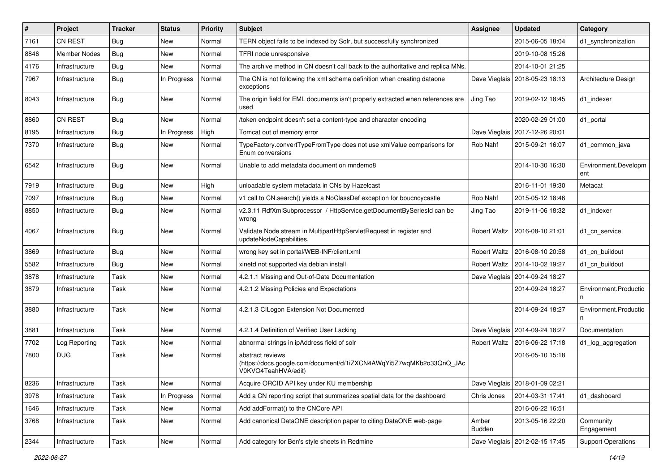| ∦    | Project             | <b>Tracker</b> | <b>Status</b> | Priority | <b>Subject</b>                                                                                                 | <b>Assignee</b>     | <b>Updated</b>                   | Category                    |
|------|---------------------|----------------|---------------|----------|----------------------------------------------------------------------------------------------------------------|---------------------|----------------------------------|-----------------------------|
| 7161 | <b>CN REST</b>      | <b>Bug</b>     | New           | Normal   | TERN object fails to be indexed by Solr, but successfully synchronized                                         |                     | 2015-06-05 18:04                 | d1_synchronization          |
| 8846 | <b>Member Nodes</b> | Bug            | New           | Normal   | TFRI node unresponsive                                                                                         |                     | 2019-10-08 15:26                 |                             |
| 4176 | Infrastructure      | <b>Bug</b>     | New           | Normal   | The archive method in CN doesn't call back to the authoritative and replica MNs.                               |                     | 2014-10-01 21:25                 |                             |
| 7967 | Infrastructure      | Bug            | In Progress   | Normal   | The CN is not following the xml schema definition when creating dataone<br>exceptions                          |                     | Dave Vieglais   2018-05-23 18:13 | Architecture Design         |
| 8043 | Infrastructure      | Bug            | New           | Normal   | The origin field for EML documents isn't properly extracted when references are<br>used                        | Jing Tao            | 2019-02-12 18:45                 | d1_indexer                  |
| 8860 | CN REST             | <b>Bug</b>     | New           | Normal   | /token endpoint doesn't set a content-type and character encoding                                              |                     | 2020-02-29 01:00                 | d1 portal                   |
| 8195 | Infrastructure      | <b>Bug</b>     | In Progress   | High     | Tomcat out of memory error                                                                                     | Dave Vieglais       | 2017-12-26 20:01                 |                             |
| 7370 | Infrastructure      | Bug            | New           | Normal   | TypeFactory.convertTypeFromType does not use xmlValue comparisons for<br>Enum conversions                      | Rob Nahf            | 2015-09-21 16:07                 | d1 common java              |
| 6542 | Infrastructure      | Bug            | New           | Normal   | Unable to add metadata document on mndemo8                                                                     |                     | 2014-10-30 16:30                 | Environment.Developm<br>ent |
| 7919 | Infrastructure      | Bug            | New           | High     | unloadable system metadata in CNs by Hazelcast                                                                 |                     | 2016-11-01 19:30                 | Metacat                     |
| 7097 | Infrastructure      | <b>Bug</b>     | New           | Normal   | v1 call to CN.search() yields a NoClassDef exception for boucncycastle                                         | Rob Nahf            | 2015-05-12 18:46                 |                             |
| 8850 | Infrastructure      | <b>Bug</b>     | New           | Normal   | v2.3.11 RdfXmlSubprocessor / HttpService.getDocumentBySeriesId can be<br>wrong                                 | Jing Tao            | 2019-11-06 18:32                 | d1_indexer                  |
| 4067 | Infrastructure      | <b>Bug</b>     | New           | Normal   | Validate Node stream in MultipartHttpServletRequest in register and<br>updateNodeCapabilities.                 | <b>Robert Waltz</b> | 2016-08-10 21:01                 | d1 cn service               |
| 3869 | Infrastructure      | Bug            | New           | Normal   | wrong key set in portal/WEB-INF/client.xml                                                                     | <b>Robert Waltz</b> | 2016-08-10 20:58                 | d1_cn_buildout              |
| 5582 | Infrastructure      | <b>Bug</b>     | New           | Normal   | xinetd not supported via debian install                                                                        | <b>Robert Waltz</b> | 2014-10-02 19:27                 | d1 cn buildout              |
| 3878 | Infrastructure      | Task           | New           | Normal   | 4.2.1.1 Missing and Out-of-Date Documentation                                                                  | Dave Vieglais       | 2014-09-24 18:27                 |                             |
| 3879 | Infrastructure      | Task           | New           | Normal   | 4.2.1.2 Missing Policies and Expectations                                                                      |                     | 2014-09-24 18:27                 | Environment.Productio<br>n  |
| 3880 | Infrastructure      | Task           | New           | Normal   | 4.2.1.3 CILogon Extension Not Documented                                                                       |                     | 2014-09-24 18:27                 | Environment.Productio<br>n  |
| 3881 | Infrastructure      | Task           | New           | Normal   | 4.2.1.4 Definition of Verified User Lacking                                                                    | Dave Vieglais       | 2014-09-24 18:27                 | Documentation               |
| 7702 | Log Reporting       | Task           | New           | Normal   | abnormal strings in ipAddress field of solr                                                                    | <b>Robert Waltz</b> | 2016-06-22 17:18                 | d1_log_aggregation          |
| 7800 | <b>DUG</b>          | Task           | New           | Normal   | abstract reviews<br>(https://docs.google.com/document/d/1iZXCN4AWqYi5Z7wqMKb2o33QnQ_JAc<br>V0KVO4TeahHVA/edit) |                     | 2016-05-10 15:18                 |                             |
| 8236 | Infrastructure      | Task           | New           | Normal   | Acquire ORCID API key under KU membership                                                                      |                     | Dave Vieglais   2018-01-09 02:21 |                             |
| 3978 | Infrastructure      | Task           | In Progress   | Normal   | Add a CN reporting script that summarizes spatial data for the dashboard                                       | Chris Jones         | 2014-03-31 17:41                 | d1 dashboard                |
| 1646 | Infrastructure      | Task           | New           | Normal   | Add addFormat() to the CNCore API                                                                              |                     | 2016-06-22 16:51                 |                             |
| 3768 | Infrastructure      | Task           | New           | Normal   | Add canonical DataONE description paper to citing DataONE web-page                                             | Amber<br>Budden     | 2013-05-16 22:20                 | Community<br>Engagement     |
| 2344 | Infrastructure      | Task           | New           | Normal   | Add category for Ben's style sheets in Redmine                                                                 |                     | Dave Vieglais   2012-02-15 17:45 | <b>Support Operations</b>   |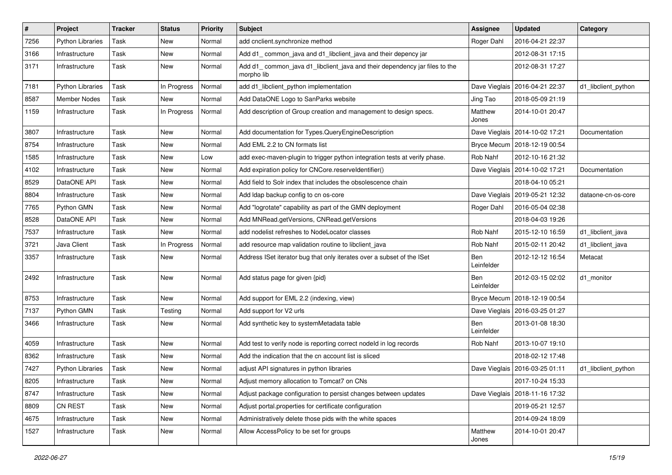| $\sharp$ | Project                 | <b>Tracker</b> | <b>Status</b> | <b>Priority</b> | Subject                                                                                  | <b>Assignee</b>          | <b>Updated</b>                   | Category            |
|----------|-------------------------|----------------|---------------|-----------------|------------------------------------------------------------------------------------------|--------------------------|----------------------------------|---------------------|
| 7256     | <b>Python Libraries</b> | Task           | New           | Normal          | add cnclient.synchronize method                                                          | Roger Dahl               | 2016-04-21 22:37                 |                     |
| 3166     | Infrastructure          | Task           | New           | Normal          | Add d1_common_java and d1_libclient_java and their depency jar                           |                          | 2012-08-31 17:15                 |                     |
| 3171     | Infrastructure          | Task           | New           | Normal          | Add d1_common_java d1_libclient_java and their dependency jar files to the<br>morpho lib |                          | 2012-08-31 17:27                 |                     |
| 7181     | <b>Python Libraries</b> | Task           | In Progress   | Normal          | add d1_libclient_python implementation                                                   |                          | Dave Vieglais   2016-04-21 22:37 | d1_libclient_python |
| 8587     | Member Nodes            | Task           | New           | Normal          | Add DataONE Logo to SanParks website                                                     | Jing Tao                 | 2018-05-09 21:19                 |                     |
| 1159     | Infrastructure          | Task           | In Progress   | Normal          | Add description of Group creation and management to design specs.                        | Matthew<br>Jones         | 2014-10-01 20:47                 |                     |
| 3807     | Infrastructure          | Task           | New           | Normal          | Add documentation for Types. Query Engine Description                                    |                          | Dave Vieglais   2014-10-02 17:21 | Documentation       |
| 8754     | Infrastructure          | Task           | New           | Normal          | Add EML 2.2 to CN formats list                                                           |                          | Bryce Mecum   2018-12-19 00:54   |                     |
| 1585     | Infrastructure          | Task           | New           | Low             | add exec-maven-plugin to trigger python integration tests at verify phase.               | Rob Nahf                 | 2012-10-16 21:32                 |                     |
| 4102     | Infrastructure          | Task           | New           | Normal          | Add expiration policy for CNCore.reserveldentifier()                                     |                          | Dave Vieglais   2014-10-02 17:21 | Documentation       |
| 8529     | DataONE API             | Task           | New           | Normal          | Add field to Solr index that includes the obsolescence chain                             |                          | 2018-04-10 05:21                 |                     |
| 8804     | Infrastructure          | Task           | New           | Normal          | Add Idap backup config to cn os-core                                                     | Dave Vieglais            | 2019-05-21 12:32                 | dataone-cn-os-core  |
| 7765     | Python GMN              | Task           | New           | Normal          | Add "logrotate" capability as part of the GMN deployment                                 | Roger Dahl               | 2016-05-04 02:38                 |                     |
| 8528     | DataONE API             | Task           | New           | Normal          | Add MNRead.getVersions, CNRead.getVersions                                               |                          | 2018-04-03 19:26                 |                     |
| 7537     | Infrastructure          | Task           | New           | Normal          | add nodelist refreshes to NodeLocator classes                                            | Rob Nahf                 | 2015-12-10 16:59                 | d1_libclient_java   |
| 3721     | Java Client             | Task           | In Progress   | Normal          | add resource map validation routine to libclient_java                                    | Rob Nahf                 | 2015-02-11 20:42                 | d1_libclient_java   |
| 3357     | Infrastructure          | Task           | New           | Normal          | Address ISet iterator bug that only iterates over a subset of the ISet                   | Ben<br>Leinfelder        | 2012-12-12 16:54                 | Metacat             |
| 2492     | Infrastructure          | Task           | New           | Normal          | Add status page for given {pid}                                                          | Ben<br>Leinfelder        | 2012-03-15 02:02                 | d1_monitor          |
| 8753     | Infrastructure          | Task           | New           | Normal          | Add support for EML 2.2 (indexing, view)                                                 | <b>Bryce Mecum</b>       | 2018-12-19 00:54                 |                     |
| 7137     | Python GMN              | Task           | Testing       | Normal          | Add support for V2 urls                                                                  |                          | Dave Vieglais   2016-03-25 01:27 |                     |
| 3466     | Infrastructure          | Task           | New           | Normal          | Add synthetic key to systemMetadata table                                                | <b>Ben</b><br>Leinfelder | 2013-01-08 18:30                 |                     |
| 4059     | Infrastructure          | Task           | New           | Normal          | Add test to verify node is reporting correct nodeld in log records                       | Rob Nahf                 | 2013-10-07 19:10                 |                     |
| 8362     | Infrastructure          | Task           | New           | Normal          | Add the indication that the cn account list is sliced                                    |                          | 2018-02-12 17:48                 |                     |
| 7427     | <b>Python Libraries</b> | Task           | New           | Normal          | adjust API signatures in python libraries                                                |                          | Dave Vieglais   2016-03-25 01:11 | d1_libclient_python |
| 8205     | Infrastructure          | Task           | New           | Normal          | Adjust memory allocation to Tomcat7 on CNs                                               |                          | 2017-10-24 15:33                 |                     |
| 8747     | Infrastructure          | Task           | New           | Normal          | Adjust package configuration to persist changes between updates                          | Dave Vieglais            | 2018-11-16 17:32                 |                     |
| 8809     | CN REST                 | Task           | New           | Normal          | Adjust portal properties for certificate configuration                                   |                          | 2019-05-21 12:57                 |                     |
| 4675     | Infrastructure          | Task           | New           | Normal          | Administratively delete those pids with the white spaces                                 |                          | 2014-09-24 18:09                 |                     |
| 1527     | Infrastructure          | Task           | New           | Normal          | Allow AccessPolicy to be set for groups                                                  | Matthew<br>Jones         | 2014-10-01 20:47                 |                     |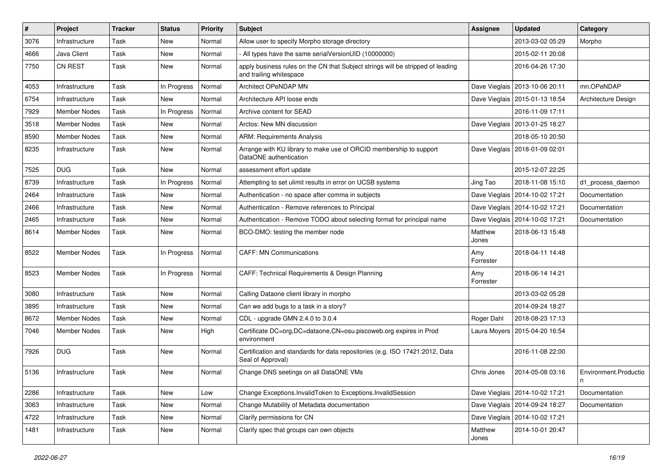| $\vert$ # | Project             | <b>Tracker</b> | <b>Status</b> | <b>Priority</b> | Subject                                                                                                    | Assignee         | <b>Updated</b>                   | Category              |
|-----------|---------------------|----------------|---------------|-----------------|------------------------------------------------------------------------------------------------------------|------------------|----------------------------------|-----------------------|
| 3076      | Infrastructure      | Task           | New           | Normal          | Allow user to specify Morpho storage directory                                                             |                  | 2013-03-02 05:29                 | Morpho                |
| 4666      | Java Client         | Task           | New           | Normal          | All types have the same serialVersionUID (10000000)                                                        |                  | 2015-02-11 20:08                 |                       |
| 7750      | <b>CN REST</b>      | Task           | New           | Normal          | apply business rules on the CN that Subject strings will be stripped of leading<br>and trailing whitespace |                  | 2016-04-26 17:30                 |                       |
| 4053      | Infrastructure      | Task           | In Progress   | Normal          | Architect OPeNDAP MN                                                                                       | Dave Vieglais    | 2013-10-06 20:11                 | mn.OPeNDAP            |
| 6754      | Infrastructure      | Task           | New           | Normal          | Architecture API loose ends                                                                                | Dave Vieglais    | 2015-01-13 18:54                 | Architecture Design   |
| 7929      | <b>Member Nodes</b> | Task           | In Progress   | Normal          | Archive content for SEAD                                                                                   |                  | 2016-11-09 17:11                 |                       |
| 3518      | <b>Member Nodes</b> | Task           | New           | Normal          | Arctos: New MN discussion                                                                                  | Dave Vieglais    | 2013-01-25 18:27                 |                       |
| 8590      | <b>Member Nodes</b> | Task           | New           | Normal          | <b>ARM: Requirements Analysis</b>                                                                          |                  | 2018-05-10 20:50                 |                       |
| 8235      | Infrastructure      | Task           | New           | Normal          | Arrange with KU library to make use of ORCID membership to support<br>DataONE authentication               | Dave Vieglais    | 2018-01-09 02:01                 |                       |
| 7525      | <b>DUG</b>          | Task           | New           | Normal          | assessment effort update                                                                                   |                  | 2015-12-07 22:25                 |                       |
| 8739      | Infrastructure      | Task           | In Progress   | Normal          | Attempting to set ulimit results in error on UCSB systems                                                  | Jing Tao         | 2018-11-08 15:10                 | d1_process_daemon     |
| 2464      | Infrastructure      | Task           | New           | Normal          | Authentication - no space after comma in subjects                                                          | Dave Vieglais    | 2014-10-02 17:21                 | Documentation         |
| 2466      | Infrastructure      | Task           | New           | Normal          | Authentication - Remove references to Principal                                                            |                  | Dave Vieglais   2014-10-02 17:21 | Documentation         |
| 2465      | Infrastructure      | Task           | New           | Normal          | Authentication - Remove TODO about selecting format for principal name                                     | Dave Vieglais    | 2014-10-02 17:21                 | Documentation         |
| 8614      | <b>Member Nodes</b> | Task           | New           | Normal          | BCO-DMO: testing the member node                                                                           | Matthew<br>Jones | 2018-06-13 15:48                 |                       |
| 8522      | <b>Member Nodes</b> | Task           | In Progress   | Normal          | <b>CAFF: MN Communications</b>                                                                             | Amy<br>Forrester | 2018-04-11 14:48                 |                       |
| 8523      | <b>Member Nodes</b> | Task           | In Progress   | Normal          | CAFF: Technical Requirements & Design Planning                                                             | Amy<br>Forrester | 2018-06-14 14:21                 |                       |
| 3080      | Infrastructure      | Task           | <b>New</b>    | Normal          | Calling Dataone client library in morpho                                                                   |                  | 2013-03-02 05:28                 |                       |
| 3895      | Infrastructure      | Task           | New           | Normal          | Can we add bugs to a task in a story?                                                                      |                  | 2014-09-24 18:27                 |                       |
| 8672      | <b>Member Nodes</b> | Task           | New           | Normal          | CDL - upgrade GMN 2.4.0 to 3.0.4                                                                           | Roger Dahl       | 2018-08-23 17:13                 |                       |
| 7046      | <b>Member Nodes</b> | Task           | New           | High            | Certificate DC=org, DC=dataone, CN=osu.piscoweb.org expires in Prod<br>environment                         | Laura Moyers     | 2015-04-20 16:54                 |                       |
| 7926      | <b>DUG</b>          | Task           | New           | Normal          | Certification and standards for data repositories (e.g. ISO 17421:2012, Data<br>Seal of Approval)          |                  | 2016-11-08 22:00                 |                       |
| 5136      | Infrastructure      | Task           | New           | Normal          | Change DNS seetings on all DataONE VMs                                                                     | Chris Jones      | 2014-05-08 03:16                 | Environment.Productio |
| 2286      | Infrastructure      | Task           | New           | Low             | Change Exceptions.InvalidToken to Exceptions.InvalidSession                                                | Dave Vieglais    | 2014-10-02 17:21                 | Documentation         |
| 3063      | Infrastructure      | Task           | New           | Normal          | Change Mutability of Metadata documentation                                                                |                  | Dave Vieglais   2014-09-24 18:27 | Documentation         |
| 4722      | Infrastructure      | Task           | New           | Normal          | Clarify permissions for CN                                                                                 | Dave Vieglais    | 2014-10-02 17:21                 |                       |
| 1481      | Infrastructure      | Task           | New           | Normal          | Clarify spec that groups can own objects                                                                   | Matthew<br>Jones | 2014-10-01 20:47                 |                       |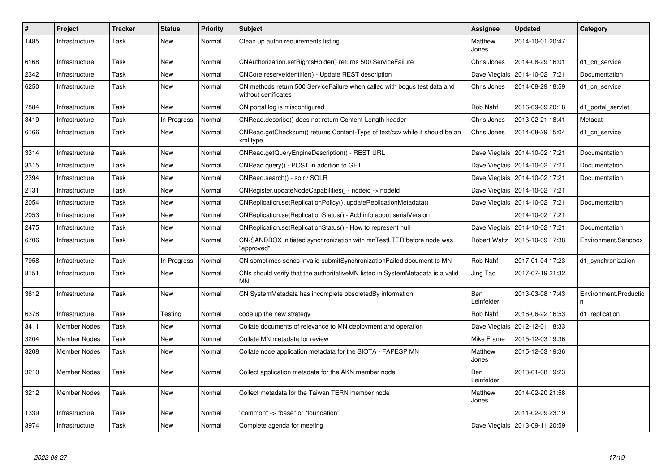| $\vert$ # | Project             | <b>Tracker</b> | Status      | <b>Priority</b> | <b>Subject</b>                                                                                    | <b>Assignee</b>   | <b>Updated</b>                   | Category                   |
|-----------|---------------------|----------------|-------------|-----------------|---------------------------------------------------------------------------------------------------|-------------------|----------------------------------|----------------------------|
| 1485      | Infrastructure      | Task           | New         | Normal          | Clean up authn requirements listing                                                               | Matthew<br>Jones  | 2014-10-01 20:47                 |                            |
| 6168      | Infrastructure      | Task           | New         | Normal          | CNAuthorization.setRightsHolder() returns 500 ServiceFailure                                      | Chris Jones       | 2014-08-29 16:01                 | d1 cn service              |
| 2342      | Infrastructure      | Task           | New         | Normal          | CNCore.reserveldentifier() - Update REST description                                              | Dave Vieglais     | 2014-10-02 17:21                 | Documentation              |
| 6250      | Infrastructure      | Task           | New         | Normal          | CN methods return 500 ServiceFailure when called with bogus test data and<br>without certificates | Chris Jones       | 2014-08-29 18:59                 | d1 cn service              |
| 7884      | Infrastructure      | Task           | New         | Normal          | CN portal log is misconfigured                                                                    | Rob Nahf          | 2016-09-09 20:18                 | d1_portal_servlet          |
| 3419      | Infrastructure      | Task           | In Progress | Normal          | CNRead.describe() does not return Content-Length header                                           | Chris Jones       | 2013-02-21 18:41                 | Metacat                    |
| 6166      | Infrastructure      | Task           | New         | Normal          | CNRead.getChecksum() returns Content-Type of text/csv while it should be an<br>xml type           | Chris Jones       | 2014-08-29 15:04                 | d1 cn service              |
| 3314      | Infrastructure      | Task           | New         | Normal          | CNRead.getQueryEngineDescription() - REST URL                                                     |                   | Dave Vieglais   2014-10-02 17:21 | Documentation              |
| 3315      | Infrastructure      | Task           | New         | Normal          | CNRead.query() - POST in addition to GET                                                          |                   | Dave Vieglais   2014-10-02 17:21 | Documentation              |
| 2394      | Infrastructure      | Task           | New         | Normal          | CNRead.search() - solr / SOLR                                                                     |                   | Dave Vieglais   2014-10-02 17:21 | Documentation              |
| 2131      | Infrastructure      | Task           | New         | Normal          | CNRegister.updateNodeCapabilities() - nodeid -> nodeld                                            |                   | Dave Vieglais   2014-10-02 17:21 |                            |
| 2054      | Infrastructure      | Task           | New         | Normal          | CNReplication.setReplicationPolicy(), updateReplicationMetadata()                                 |                   | Dave Vieglais   2014-10-02 17:21 | Documentation              |
| 2053      | Infrastructure      | Task           | New         | Normal          | CNReplication.setReplicationStatus() - Add info about serialVersion                               |                   | 2014-10-02 17:21                 |                            |
| 2475      | Infrastructure      | Task           | New         | Normal          | CNReplication.setReplicationStatus() - How to represent null                                      |                   | Dave Vieglais   2014-10-02 17:21 | Documentation              |
| 6706      | Infrastructure      | Task           | New         | Normal          | CN-SANDBOX initiated synchronization with mnTestLTER before node was<br>"approved"                | Robert Waltz      | 2015-10-09 17:38                 | Environment.Sandbox        |
| 7958      | Infrastructure      | Task           | In Progress | Normal          | CN sometimes sends invalid submitSynchronizationFailed document to MN                             | Rob Nahf          | 2017-01-04 17:23                 | d1_synchronization         |
| 8151      | Infrastructure      | Task           | New         | Normal          | CNs should verify that the authoritativeMN listed in SystemMetadata is a valid<br>ΜN              | Jing Tao          | 2017-07-19 21:32                 |                            |
| 3612      | Infrastructure      | Task           | New         | Normal          | CN SystemMetadata has incomplete obsoletedBy information                                          | Ben<br>Leinfelder | 2013-03-08 17:43                 | Environment.Productio<br>n |
| 6378      | Infrastructure      | Task           | Testing     | Normal          | code up the new strategy                                                                          | Rob Nahf          | 2016-06-22 16:53                 | d1_replication             |
| 3411      | Member Nodes        | Task           | New         | Normal          | Collate documents of relevance to MN deployment and operation                                     | Dave Vieglais     | 2012-12-01 18:33                 |                            |
| 3204      | <b>Member Nodes</b> | Task           | New         | Normal          | Collate MN metadata for review                                                                    | Mike Frame        | 2015-12-03 19:36                 |                            |
| 3208      | Member Nodes        | Task           | New         | Normal          | Collate node application metadata for the BIOTA - FAPESP MN                                       | Matthew<br>Jones  | 2015-12-03 19:36                 |                            |
| 3210      | <b>Member Nodes</b> | Task           | New         | Normal          | Collect application metadata for the AKN member node                                              | Ben<br>Leinfelder | 2013-01-08 19:23                 |                            |
| 3212      | <b>Member Nodes</b> | Task           | New         | Normal          | Collect metadata for the Taiwan TERN member node                                                  | Matthew<br>Jones  | 2014-02-20 21:58                 |                            |
| 1339      | Infrastructure      | Task           | New         | Normal          | "common" -> "base" or "foundation"                                                                |                   | 2011-02-09 23:19                 |                            |
| 3974      | Infrastructure      | Task           | New         | Normal          | Complete agenda for meeting                                                                       |                   | Dave Vieglais   2013-09-11 20:59 |                            |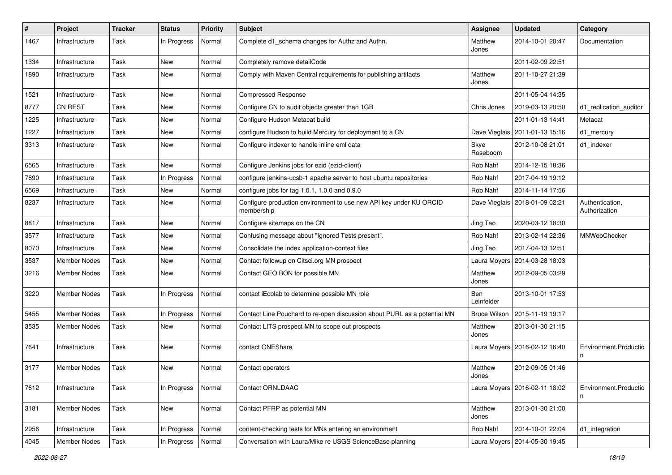| $\vert$ # | Project             | <b>Tracker</b> | <b>Status</b> | <b>Priority</b> | Subject                                                                          | Assignee            | <b>Updated</b>                   | Category                         |
|-----------|---------------------|----------------|---------------|-----------------|----------------------------------------------------------------------------------|---------------------|----------------------------------|----------------------------------|
| 1467      | Infrastructure      | Task           | In Progress   | Normal          | Complete d1_schema changes for Authz and Authn.                                  | Matthew<br>Jones    | 2014-10-01 20:47                 | Documentation                    |
| 1334      | Infrastructure      | Task           | <b>New</b>    | Normal          | Completely remove detailCode                                                     |                     | 2011-02-09 22:51                 |                                  |
| 1890      | Infrastructure      | Task           | New           | Normal          | Comply with Maven Central requirements for publishing artifacts                  | Matthew<br>Jones    | 2011-10-27 21:39                 |                                  |
| 1521      | Infrastructure      | Task           | New           | Normal          | <b>Compressed Response</b>                                                       |                     | 2011-05-04 14:35                 |                                  |
| 8777      | CN REST             | Task           | New           | Normal          | Configure CN to audit objects greater than 1GB                                   | Chris Jones         | 2019-03-13 20:50                 | d1_replication_auditor           |
| 1225      | Infrastructure      | Task           | New           | Normal          | Configure Hudson Metacat build                                                   |                     | 2011-01-13 14:41                 | Metacat                          |
| 1227      | Infrastructure      | Task           | New           | Normal          | configure Hudson to build Mercury for deployment to a CN                         |                     | Dave Vieglais   2011-01-13 15:16 | d1_mercury                       |
| 3313      | Infrastructure      | Task           | New           | Normal          | Configure indexer to handle inline eml data                                      | Skye<br>Roseboom    | 2012-10-08 21:01                 | d1_indexer                       |
| 6565      | Infrastructure      | Task           | New           | Normal          | Configure Jenkins jobs for ezid (ezid-client)                                    | Rob Nahf            | 2014-12-15 18:36                 |                                  |
| 7890      | Infrastructure      | Task           | In Progress   | Normal          | configure jenkins-ucsb-1 apache server to host ubuntu repositories               | Rob Nahf            | 2017-04-19 19:12                 |                                  |
| 6569      | Infrastructure      | Task           | New           | Normal          | configure jobs for tag $1.0.1$ , $1.0.0$ and $0.9.0$                             | Rob Nahf            | 2014-11-14 17:56                 |                                  |
| 8237      | Infrastructure      | Task           | New           | Normal          | Configure production environment to use new API key under KU ORCID<br>membership |                     | Dave Vieglais   2018-01-09 02:21 | Authentication,<br>Authorization |
| 8817      | Infrastructure      | Task           | New           | Normal          | Configure sitemaps on the CN                                                     | Jing Tao            | 2020-03-12 18:30                 |                                  |
| 3577      | Infrastructure      | Task           | New           | Normal          | Confusing message about "Ignored Tests present".                                 | Rob Nahf            | 2013-02-14 22:36                 | MNWebChecker                     |
| 8070      | Infrastructure      | Task           | New           | Normal          | Consolidate the index application-context files                                  | Jing Tao            | 2017-04-13 12:51                 |                                  |
| 3537      | <b>Member Nodes</b> | Task           | New           | Normal          | Contact followup on Citsci.org MN prospect                                       | Laura Moyers        | 2014-03-28 18:03                 |                                  |
| 3216      | <b>Member Nodes</b> | Task           | New           | Normal          | Contact GEO BON for possible MN                                                  | Matthew<br>Jones    | 2012-09-05 03:29                 |                                  |
| 3220      | <b>Member Nodes</b> | Task           | In Progress   | Normal          | contact iEcolab to determine possible MN role                                    | Ben<br>Leinfelder   | 2013-10-01 17:53                 |                                  |
| 5455      | <b>Member Nodes</b> | Task           | In Progress   | Normal          | Contact Line Pouchard to re-open discussion about PURL as a potential MN         | <b>Bruce Wilson</b> | 2015-11-19 19:17                 |                                  |
| 3535      | <b>Member Nodes</b> | Task           | New           | Normal          | Contact LITS prospect MN to scope out prospects                                  | Matthew<br>Jones    | 2013-01-30 21:15                 |                                  |
| 7641      | Infrastructure      | Task           | <b>New</b>    | Normal          | contact ONEShare                                                                 |                     | Laura Moyers   2016-02-12 16:40  | Environment.Productio<br>n       |
| 3177      | Member Nodes        | Task           | New           | Normal          | Contact operators                                                                | Matthew<br>Jones    | 2012-09-05 01:46                 |                                  |
| 7612      | Infrastructure      | Task           | In Progress   | Normal          | Contact ORNLDAAC                                                                 |                     | Laura Moyers   2016-02-11 18:02  | Environment.Productio<br>n       |
| 3181      | Member Nodes        | Task           | New           | Normal          | Contact PFRP as potential MN                                                     | Matthew<br>Jones    | 2013-01-30 21:00                 |                                  |
| 2956      | Infrastructure      | Task           | In Progress   | Normal          | content-checking tests for MNs entering an environment                           | Rob Nahf            | 2014-10-01 22:04                 | d1_integration                   |
| 4045      | <b>Member Nodes</b> | Task           | In Progress   | Normal          | Conversation with Laura/Mike re USGS ScienceBase planning                        | Laura Moyers        | 2014-05-30 19:45                 |                                  |